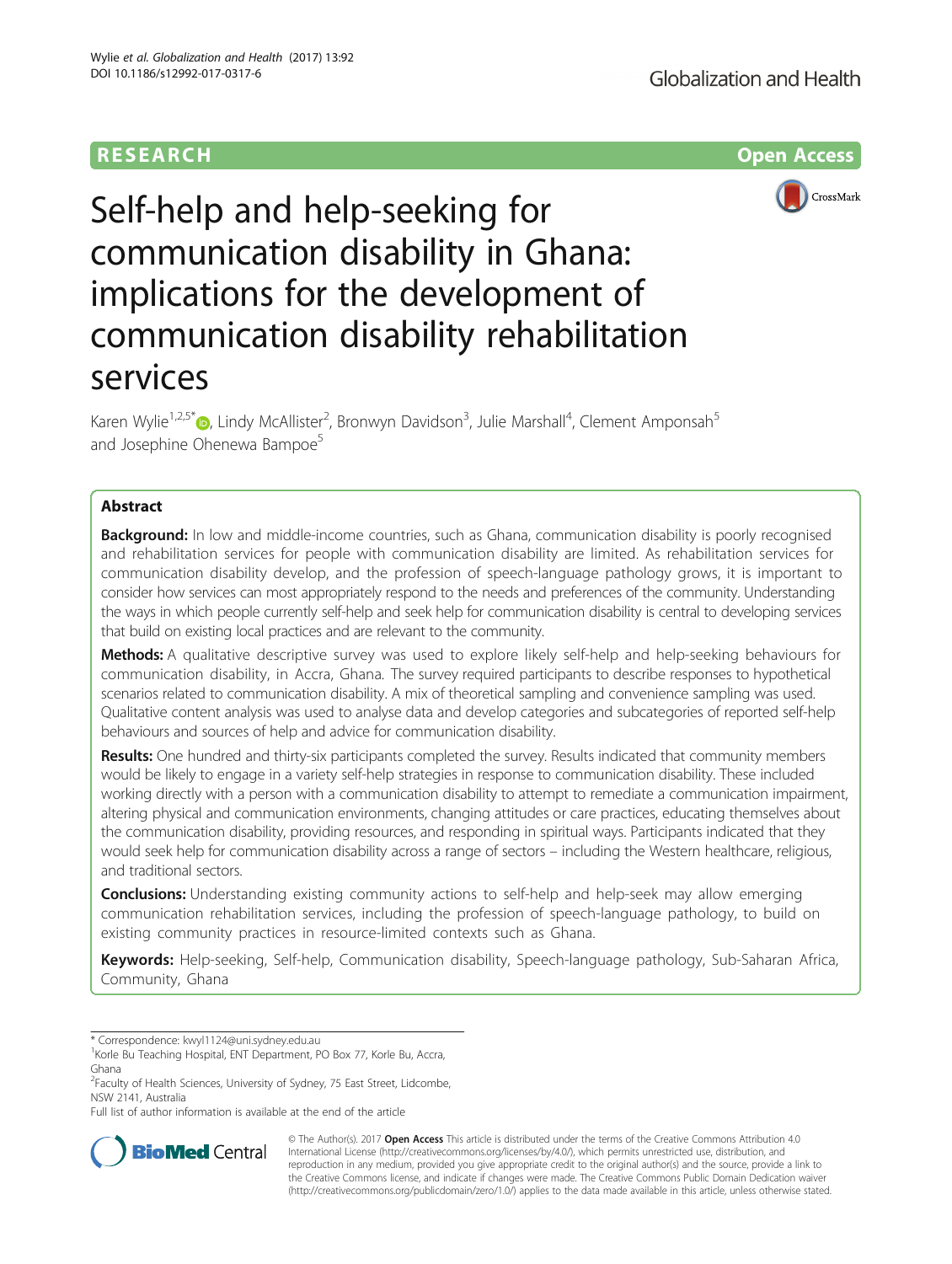# **RESEARCH CHILD CONTROL** CONTROL CONTROL CONTROL CONTROL CONTROL CONTROL CONTROL CONTROL CONTROL CONTROL CONTROL CONTROL CONTROL CONTROL CONTROL CONTROL CONTROL CONTROL CONTROL CONTROL CONTROL CONTROL CONTROL CONTROL CONTR



# Self-help and help-seeking for communication disability in Ghana: implications for the development of communication disability rehabilitation services

Karen Wylie<sup>1,2,5\*</sup>®, Lindy McAllister<sup>2</sup>, Bronwyn Davidson<sup>3</sup>, Julie Marshall<sup>4</sup>, Clement Amponsah<sup>5</sup> and Josephine Ohenewa Bampoe<sup>5</sup>

# Abstract

**Background:** In low and middle-income countries, such as Ghana, communication disability is poorly recognised and rehabilitation services for people with communication disability are limited. As rehabilitation services for communication disability develop, and the profession of speech-language pathology grows, it is important to consider how services can most appropriately respond to the needs and preferences of the community. Understanding the ways in which people currently self-help and seek help for communication disability is central to developing services that build on existing local practices and are relevant to the community.

Methods: A qualitative descriptive survey was used to explore likely self-help and help-seeking behaviours for communication disability, in Accra, Ghana. The survey required participants to describe responses to hypothetical scenarios related to communication disability. A mix of theoretical sampling and convenience sampling was used. Qualitative content analysis was used to analyse data and develop categories and subcategories of reported self-help behaviours and sources of help and advice for communication disability.

Results: One hundred and thirty-six participants completed the survey. Results indicated that community members would be likely to engage in a variety self-help strategies in response to communication disability. These included working directly with a person with a communication disability to attempt to remediate a communication impairment, altering physical and communication environments, changing attitudes or care practices, educating themselves about the communication disability, providing resources, and responding in spiritual ways. Participants indicated that they would seek help for communication disability across a range of sectors – including the Western healthcare, religious, and traditional sectors.

**Conclusions:** Understanding existing community actions to self-help and help-seek may allow emerging communication rehabilitation services, including the profession of speech-language pathology, to build on existing community practices in resource-limited contexts such as Ghana.

Keywords: Help-seeking, Self-help, Communication disability, Speech-language pathology, Sub-Saharan Africa, Community, Ghana

Full list of author information is available at the end of the article



© The Author(s). 2017 **Open Access** This article is distributed under the terms of the Creative Commons Attribution 4.0 International License [\(http://creativecommons.org/licenses/by/4.0/](http://creativecommons.org/licenses/by/4.0/)), which permits unrestricted use, distribution, and reproduction in any medium, provided you give appropriate credit to the original author(s) and the source, provide a link to the Creative Commons license, and indicate if changes were made. The Creative Commons Public Domain Dedication waiver [\(http://creativecommons.org/publicdomain/zero/1.0/](http://creativecommons.org/publicdomain/zero/1.0/)) applies to the data made available in this article, unless otherwise stated.

<sup>\*</sup> Correspondence: [kwyl1124@uni.sydney.edu.au](mailto:kwyl1124@uni.sydney.edu.au) <sup>1</sup>

<sup>&</sup>lt;sup>1</sup> Korle Bu Teaching Hospital, ENT Department, PO Box 77, Korle Bu, Accra, Ghana

<sup>&</sup>lt;sup>2</sup>Faculty of Health Sciences, University of Sydney, 75 East Street, Lidcombe, NSW 2141, Australia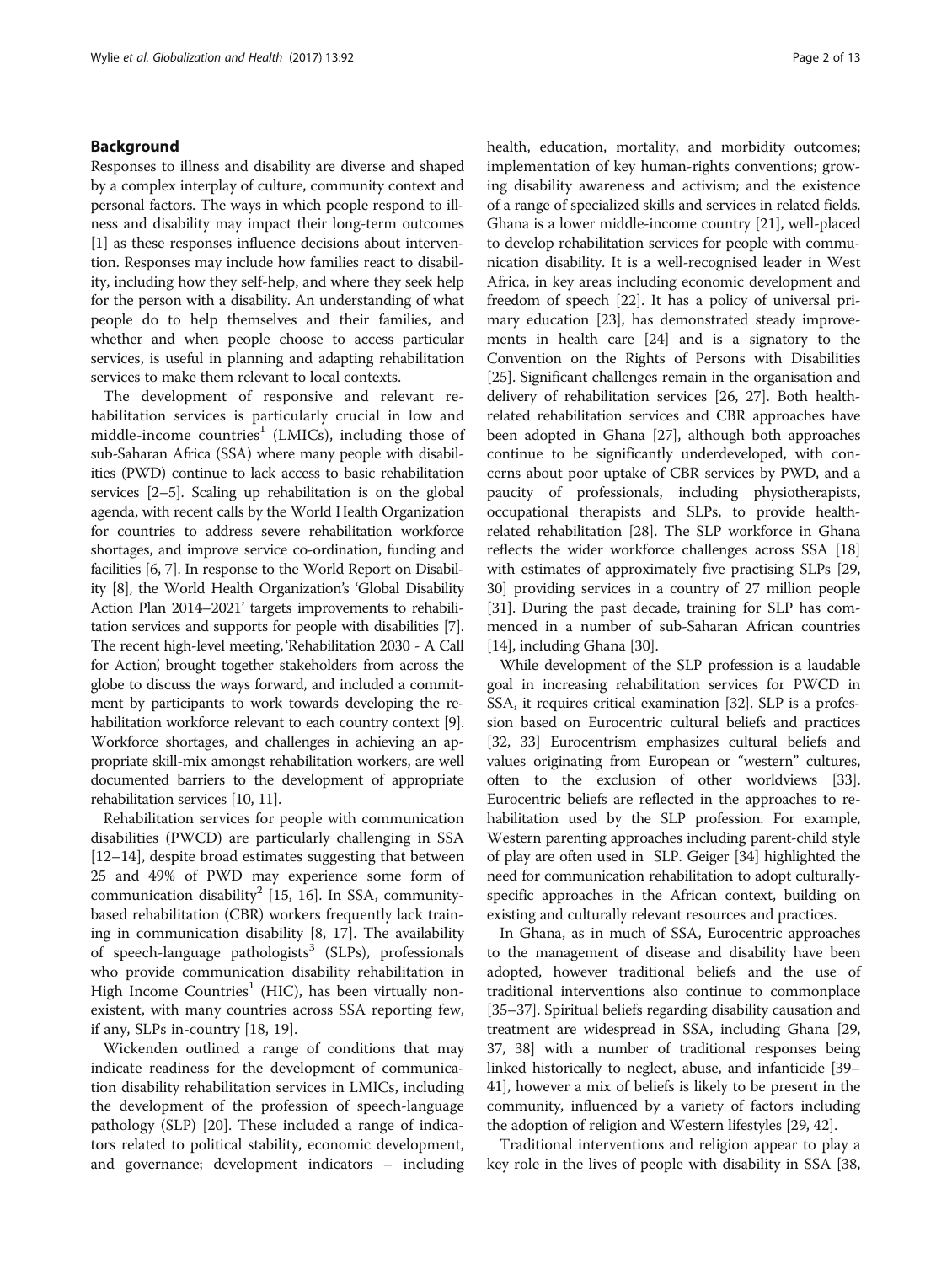## Background

Responses to illness and disability are diverse and shaped by a complex interplay of culture, community context and personal factors. The ways in which people respond to illness and disability may impact their long-term outcomes [[1\]](#page-10-0) as these responses influence decisions about intervention. Responses may include how families react to disability, including how they self-help, and where they seek help for the person with a disability. An understanding of what people do to help themselves and their families, and whether and when people choose to access particular services, is useful in planning and adapting rehabilitation services to make them relevant to local contexts.

The development of responsive and relevant rehabilitation services is particularly crucial in low and middle-income countries<sup>1</sup> (LMICs), including those of sub-Saharan Africa (SSA) where many people with disabilities (PWD) continue to lack access to basic rehabilitation services [[2](#page-10-0)–[5](#page-10-0)]. Scaling up rehabilitation is on the global agenda, with recent calls by the World Health Organization for countries to address severe rehabilitation workforce shortages, and improve service co-ordination, funding and facilities [\[6, 7](#page-10-0)]. In response to the World Report on Disability [\[8\]](#page-10-0), the World Health Organization's 'Global Disability Action Plan 2014–2021' targets improvements to rehabilitation services and supports for people with disabilities [[7](#page-10-0)]. The recent high-level meeting, 'Rehabilitation 2030 - A Call for Action, brought together stakeholders from across the globe to discuss the ways forward, and included a commitment by participants to work towards developing the re-habilitation workforce relevant to each country context [[9](#page-10-0)]. Workforce shortages, and challenges in achieving an appropriate skill-mix amongst rehabilitation workers, are well documented barriers to the development of appropriate rehabilitation services [\[10, 11](#page-10-0)].

Rehabilitation services for people with communication disabilities (PWCD) are particularly challenging in SSA [[12](#page-10-0)–[14](#page-10-0)], despite broad estimates suggesting that between 25 and 49% of PWD may experience some form of communication disability<sup>2</sup> [\[15, 16](#page-10-0)]. In SSA, communitybased rehabilitation (CBR) workers frequently lack training in communication disability [\[8](#page-10-0), [17\]](#page-10-0). The availability of speech-language pathologists<sup>3</sup> (SLPs), professionals who provide communication disability rehabilitation in High Income Countries<sup>1</sup> (HIC), has been virtually nonexistent, with many countries across SSA reporting few, if any, SLPs in-country [\[18, 19\]](#page-11-0).

Wickenden outlined a range of conditions that may indicate readiness for the development of communication disability rehabilitation services in LMICs, including the development of the profession of speech-language pathology (SLP) [[20\]](#page-11-0). These included a range of indicators related to political stability, economic development, and governance; development indicators – including health, education, mortality, and morbidity outcomes; implementation of key human-rights conventions; growing disability awareness and activism; and the existence of a range of specialized skills and services in related fields. Ghana is a lower middle-income country [[21](#page-11-0)], well-placed to develop rehabilitation services for people with communication disability. It is a well-recognised leader in West Africa, in key areas including economic development and freedom of speech [\[22](#page-11-0)]. It has a policy of universal primary education [\[23\]](#page-11-0), has demonstrated steady improvements in health care [\[24\]](#page-11-0) and is a signatory to the Convention on the Rights of Persons with Disabilities [[25](#page-11-0)]. Significant challenges remain in the organisation and delivery of rehabilitation services [\[26, 27](#page-11-0)]. Both healthrelated rehabilitation services and CBR approaches have been adopted in Ghana [\[27](#page-11-0)], although both approaches continue to be significantly underdeveloped, with concerns about poor uptake of CBR services by PWD, and a paucity of professionals, including physiotherapists, occupational therapists and SLPs, to provide healthrelated rehabilitation [[28](#page-11-0)]. The SLP workforce in Ghana reflects the wider workforce challenges across SSA [[18](#page-11-0)] with estimates of approximately five practising SLPs [[29](#page-11-0), [30](#page-11-0)] providing services in a country of 27 million people [[31](#page-11-0)]. During the past decade, training for SLP has commenced in a number of sub-Saharan African countries [[14](#page-10-0)], including Ghana [\[30\]](#page-11-0).

While development of the SLP profession is a laudable goal in increasing rehabilitation services for PWCD in SSA, it requires critical examination [[32](#page-11-0)]. SLP is a profession based on Eurocentric cultural beliefs and practices [[32](#page-11-0), [33](#page-11-0)] Eurocentrism emphasizes cultural beliefs and values originating from European or "western" cultures, often to the exclusion of other worldviews [[33](#page-11-0)]. Eurocentric beliefs are reflected in the approaches to rehabilitation used by the SLP profession. For example, Western parenting approaches including parent-child style of play are often used in SLP. Geiger [[34](#page-11-0)] highlighted the need for communication rehabilitation to adopt culturallyspecific approaches in the African context, building on existing and culturally relevant resources and practices.

In Ghana, as in much of SSA, Eurocentric approaches to the management of disease and disability have been adopted, however traditional beliefs and the use of traditional interventions also continue to commonplace [[35](#page-11-0)–[37\]](#page-11-0). Spiritual beliefs regarding disability causation and treatment are widespread in SSA, including Ghana [[29](#page-11-0), [37](#page-11-0), [38\]](#page-11-0) with a number of traditional responses being linked historically to neglect, abuse, and infanticide [\[39](#page-11-0)– [41](#page-11-0)], however a mix of beliefs is likely to be present in the community, influenced by a variety of factors including the adoption of religion and Western lifestyles [\[29, 42\]](#page-11-0).

Traditional interventions and religion appear to play a key role in the lives of people with disability in SSA [[38](#page-11-0),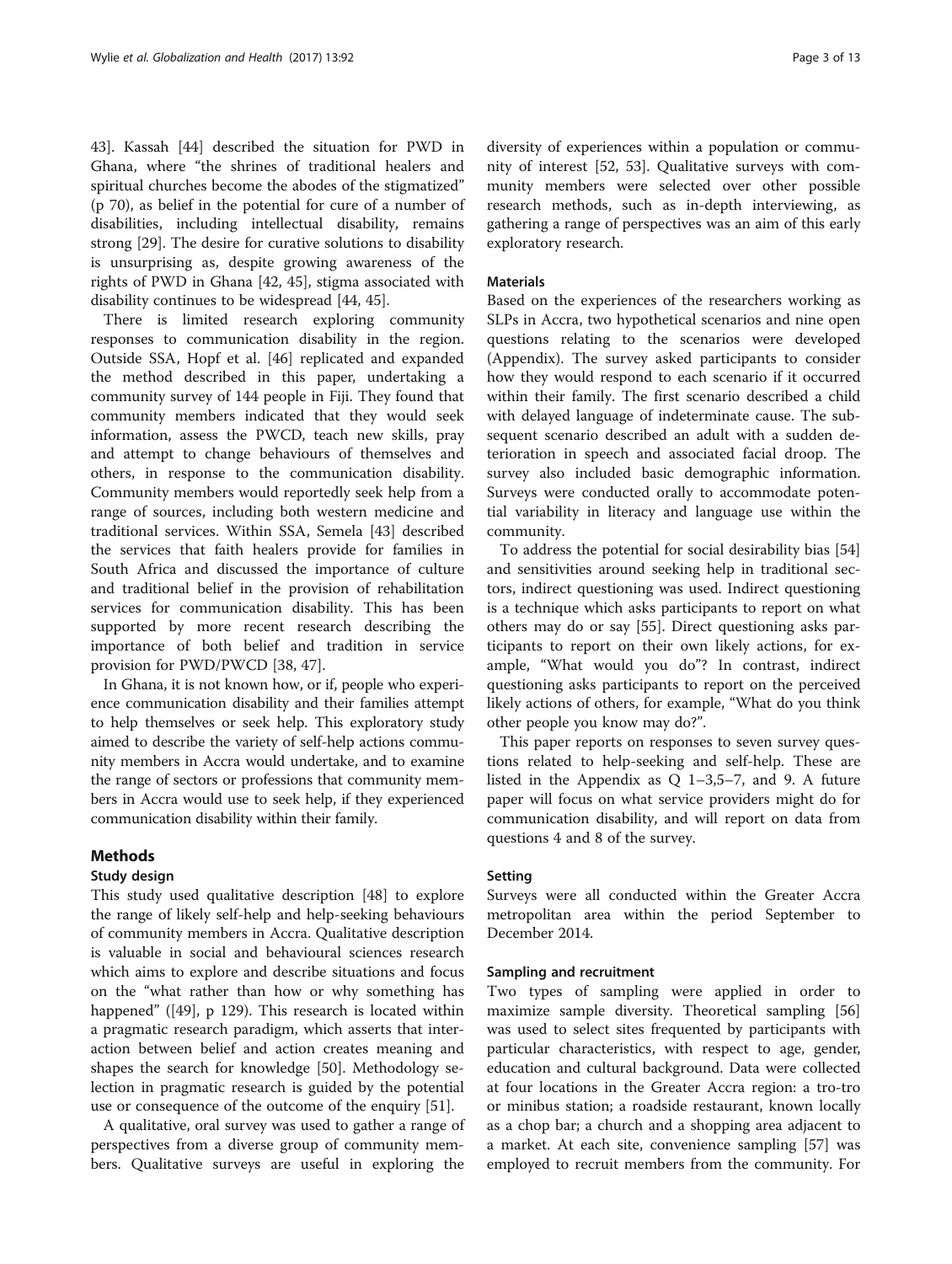[43\]](#page-11-0). Kassah [[44](#page-11-0)] described the situation for PWD in Ghana, where "the shrines of traditional healers and spiritual churches become the abodes of the stigmatized" (p 70), as belief in the potential for cure of a number of disabilities, including intellectual disability, remains strong [[29\]](#page-11-0). The desire for curative solutions to disability is unsurprising as, despite growing awareness of the rights of PWD in Ghana [[42](#page-11-0), [45\]](#page-11-0), stigma associated with disability continues to be widespread [[44, 45\]](#page-11-0).

There is limited research exploring community responses to communication disability in the region. Outside SSA, Hopf et al. [[46](#page-11-0)] replicated and expanded the method described in this paper, undertaking a community survey of 144 people in Fiji. They found that community members indicated that they would seek information, assess the PWCD, teach new skills, pray and attempt to change behaviours of themselves and others, in response to the communication disability. Community members would reportedly seek help from a range of sources, including both western medicine and traditional services. Within SSA, Semela [[43](#page-11-0)] described the services that faith healers provide for families in South Africa and discussed the importance of culture and traditional belief in the provision of rehabilitation services for communication disability. This has been supported by more recent research describing the importance of both belief and tradition in service provision for PWD/PWCD [[38, 47](#page-11-0)].

In Ghana, it is not known how, or if, people who experience communication disability and their families attempt to help themselves or seek help. This exploratory study aimed to describe the variety of self-help actions community members in Accra would undertake, and to examine the range of sectors or professions that community members in Accra would use to seek help, if they experienced communication disability within their family.

## Methods

## Study design

This study used qualitative description [[48\]](#page-11-0) to explore the range of likely self-help and help-seeking behaviours of community members in Accra. Qualitative description is valuable in social and behavioural sciences research which aims to explore and describe situations and focus on the "what rather than how or why something has happened" ([[49\]](#page-11-0), p 129). This research is located within a pragmatic research paradigm, which asserts that interaction between belief and action creates meaning and shapes the search for knowledge [\[50](#page-11-0)]. Methodology selection in pragmatic research is guided by the potential use or consequence of the outcome of the enquiry [\[51](#page-11-0)].

A qualitative, oral survey was used to gather a range of perspectives from a diverse group of community members. Qualitative surveys are useful in exploring the

diversity of experiences within a population or community of interest [\[52](#page-11-0), [53](#page-11-0)]. Qualitative surveys with community members were selected over other possible research methods, such as in-depth interviewing, as gathering a range of perspectives was an aim of this early exploratory research.

## **Materials**

Based on the experiences of the researchers working as SLPs in Accra, two hypothetical scenarios and nine open questions relating to the scenarios were developed ([Appendix\)](#page-9-0). The survey asked participants to consider how they would respond to each scenario if it occurred within their family. The first scenario described a child with delayed language of indeterminate cause. The subsequent scenario described an adult with a sudden deterioration in speech and associated facial droop. The survey also included basic demographic information. Surveys were conducted orally to accommodate potential variability in literacy and language use within the community.

To address the potential for social desirability bias [[54](#page-11-0)] and sensitivities around seeking help in traditional sectors, indirect questioning was used. Indirect questioning is a technique which asks participants to report on what others may do or say [\[55\]](#page-11-0). Direct questioning asks participants to report on their own likely actions, for example, "What would you do"? In contrast, indirect questioning asks participants to report on the perceived likely actions of others, for example, "What do you think other people you know may do?".

This paper reports on responses to seven survey questions related to help-seeking and self-help. These are listed in the [Appendix](#page-9-0) as  $Q$  1–3,5–7, and 9. A future paper will focus on what service providers might do for communication disability, and will report on data from questions 4 and 8 of the survey.

#### Setting

Surveys were all conducted within the Greater Accra metropolitan area within the period September to December 2014.

#### Sampling and recruitment

Two types of sampling were applied in order to maximize sample diversity. Theoretical sampling [[56](#page-11-0)] was used to select sites frequented by participants with particular characteristics, with respect to age, gender, education and cultural background. Data were collected at four locations in the Greater Accra region: a tro-tro or minibus station; a roadside restaurant, known locally as a chop bar; a church and a shopping area adjacent to a market. At each site, convenience sampling [\[57\]](#page-11-0) was employed to recruit members from the community. For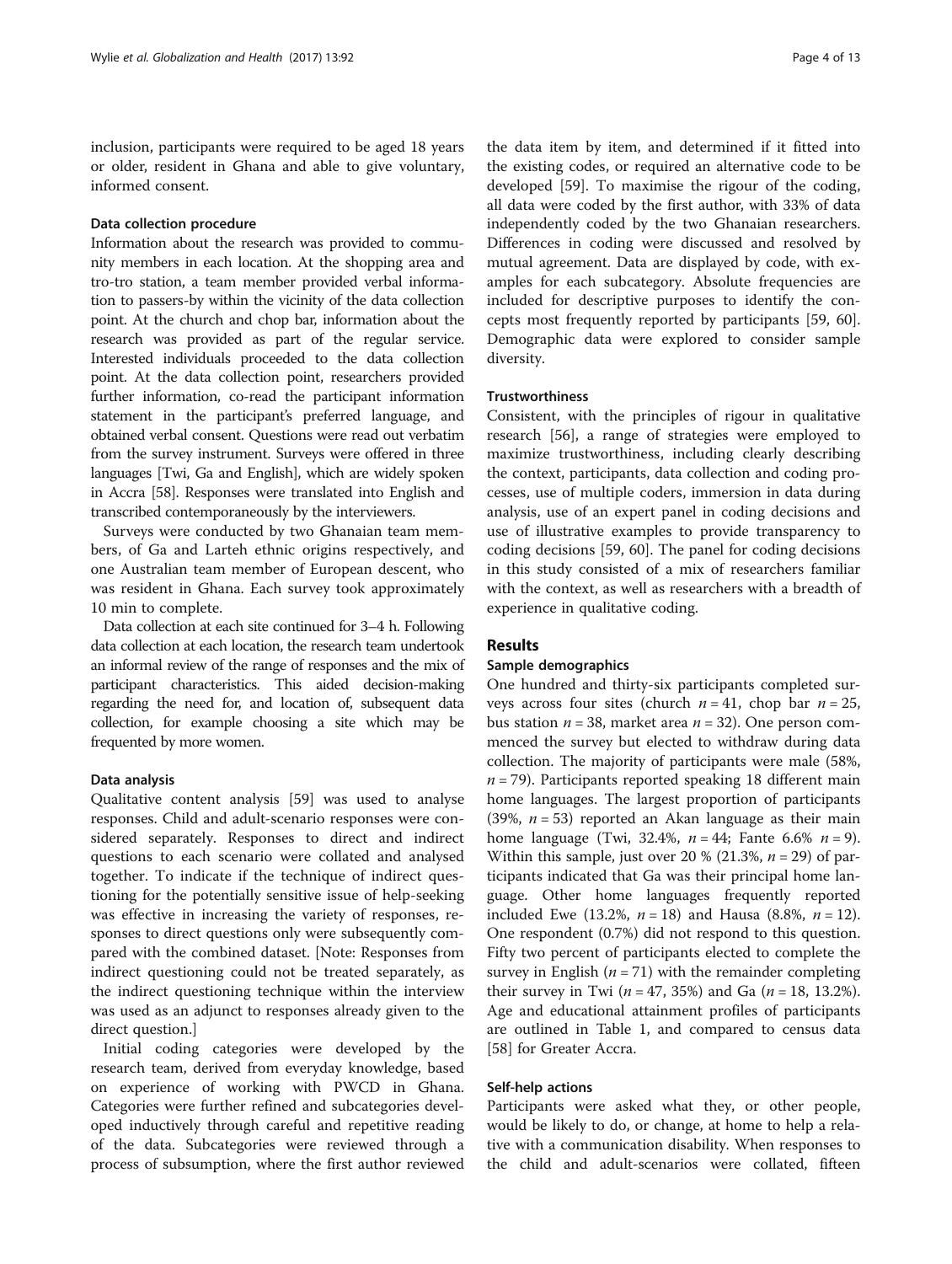inclusion, participants were required to be aged 18 years or older, resident in Ghana and able to give voluntary, informed consent.

## Data collection procedure

Information about the research was provided to community members in each location. At the shopping area and tro-tro station, a team member provided verbal information to passers-by within the vicinity of the data collection point. At the church and chop bar, information about the research was provided as part of the regular service. Interested individuals proceeded to the data collection point. At the data collection point, researchers provided further information, co-read the participant information statement in the participant's preferred language, and obtained verbal consent. Questions were read out verbatim from the survey instrument. Surveys were offered in three languages [Twi, Ga and English], which are widely spoken in Accra [[58](#page-11-0)]. Responses were translated into English and transcribed contemporaneously by the interviewers.

Surveys were conducted by two Ghanaian team members, of Ga and Larteh ethnic origins respectively, and one Australian team member of European descent, who was resident in Ghana. Each survey took approximately 10 min to complete.

Data collection at each site continued for 3–4 h. Following data collection at each location, the research team undertook an informal review of the range of responses and the mix of participant characteristics. This aided decision-making regarding the need for, and location of, subsequent data collection, for example choosing a site which may be frequented by more women.

#### Data analysis

Qualitative content analysis [[59\]](#page-11-0) was used to analyse responses. Child and adult-scenario responses were considered separately. Responses to direct and indirect questions to each scenario were collated and analysed together. To indicate if the technique of indirect questioning for the potentially sensitive issue of help-seeking was effective in increasing the variety of responses, responses to direct questions only were subsequently compared with the combined dataset. [Note: Responses from indirect questioning could not be treated separately, as the indirect questioning technique within the interview was used as an adjunct to responses already given to the direct question.]

Initial coding categories were developed by the research team, derived from everyday knowledge, based on experience of working with PWCD in Ghana. Categories were further refined and subcategories developed inductively through careful and repetitive reading of the data. Subcategories were reviewed through a process of subsumption, where the first author reviewed

the data item by item, and determined if it fitted into the existing codes, or required an alternative code to be developed [\[59](#page-11-0)]. To maximise the rigour of the coding, all data were coded by the first author, with 33% of data independently coded by the two Ghanaian researchers. Differences in coding were discussed and resolved by mutual agreement. Data are displayed by code, with examples for each subcategory. Absolute frequencies are included for descriptive purposes to identify the concepts most frequently reported by participants [\[59](#page-11-0), [60](#page-11-0)]. Demographic data were explored to consider sample diversity.

#### **Trustworthiness**

Consistent, with the principles of rigour in qualitative research [\[56\]](#page-11-0), a range of strategies were employed to maximize trustworthiness, including clearly describing the context, participants, data collection and coding processes, use of multiple coders, immersion in data during analysis, use of an expert panel in coding decisions and use of illustrative examples to provide transparency to coding decisions [[59, 60\]](#page-11-0). The panel for coding decisions in this study consisted of a mix of researchers familiar with the context, as well as researchers with a breadth of experience in qualitative coding.

## Results

## Sample demographics

One hundred and thirty-six participants completed surveys across four sites (church  $n = 41$ , chop bar  $n = 25$ , bus station  $n = 38$ , market area  $n = 32$ ). One person commenced the survey but elected to withdraw during data collection. The majority of participants were male (58%,  $n = 79$ ). Participants reported speaking 18 different main home languages. The largest proportion of participants (39%,  $n = 53$ ) reported an Akan language as their main home language (Twi, 32.4%,  $n = 44$ ; Fante 6.6%  $n = 9$ ). Within this sample, just over 20 % (21.3%,  $n = 29$ ) of participants indicated that Ga was their principal home language. Other home languages frequently reported included Ewe (13.2%,  $n = 18$ ) and Hausa (8.8%,  $n = 12$ ). One respondent (0.7%) did not respond to this question. Fifty two percent of participants elected to complete the survey in English ( $n = 71$ ) with the remainder completing their survey in Twi ( $n = 47, 35\%$ ) and Ga ( $n = 18, 13.2\%$ ). Age and educational attainment profiles of participants are outlined in Table [1,](#page-4-0) and compared to census data [[58\]](#page-11-0) for Greater Accra.

### Self-help actions

Participants were asked what they, or other people, would be likely to do, or change, at home to help a relative with a communication disability. When responses to the child and adult-scenarios were collated, fifteen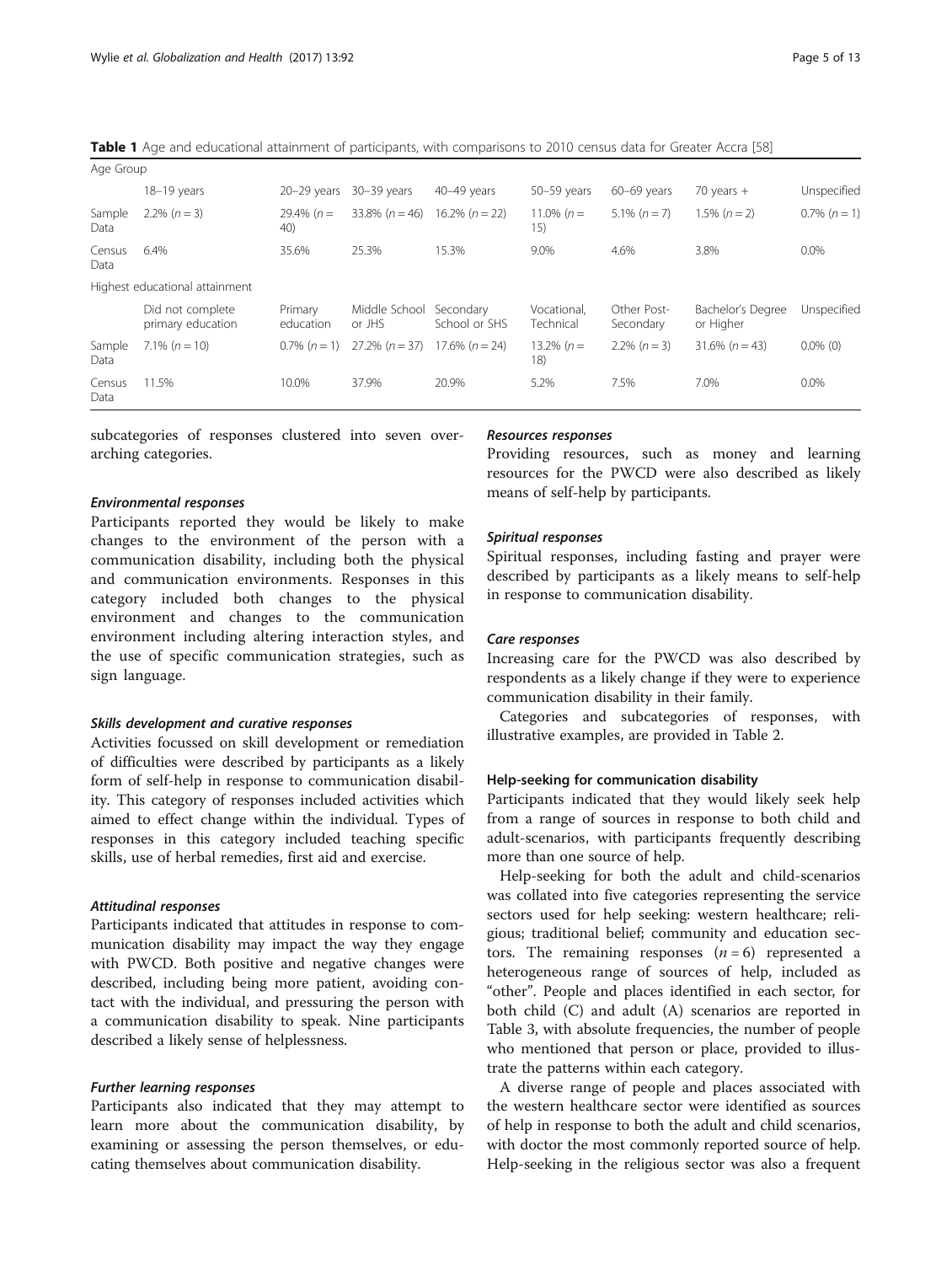<span id="page-4-0"></span>Table 1 Age and educational attainment of participants, with comparisons to 2010 census data for Greater Accra [[58\]](#page-11-0)

| Age Group                      |                                       |                      |                         |                            |                          |                          |                                |                     |
|--------------------------------|---------------------------------------|----------------------|-------------------------|----------------------------|--------------------------|--------------------------|--------------------------------|---------------------|
|                                | $18-19$ years                         | $20 - 29$ years      | $30 - 39$ years         | $40-49$ years              | 50-59 years              | $60-69$ years            | $70$ years $+$                 | Unspecified         |
| Sample<br>Data                 | $2.2\% (n=3)$                         | $29.4\%$ (n =<br>40) | $33.8\% (n = 46)$       | 16.2% $(n = 22)$           | 11.0% $(n=$<br>15)       | $5.1\% (n = 7)$          | $1.5\%$ $(n = 2)$              | $0.7\%$ ( $n = 1$ ) |
| Census<br>Data                 | 35.6%<br>25.3%<br>6.4%                |                      |                         | 15.3%                      | 9.0%                     | 4.6%                     | 3.8%                           | $0.0\%$             |
| Highest educational attainment |                                       |                      |                         |                            |                          |                          |                                |                     |
|                                | Did not complete<br>primary education | Primary<br>education | Middle School<br>or JHS | Secondary<br>School or SHS | Vocational.<br>Technical | Other Post-<br>Secondary | Bachelor's Degree<br>or Higher | Unspecified         |
| Sample<br>Data                 | $7.1\%$ (n = 10)                      | $0.7\%$ $(n=1)$      | $27.2\% (n = 37)$       | $17.6\% (n = 24)$          | $13.2\%$ (n =<br>18)     | $2.2\%$ (n = 3)          | $31.6\% (n = 43)$              | $0.0\%$ (0)         |
| Census<br>Data                 | 11.5%                                 | 10.0%                | 37.9%                   | 20.9%                      | 5.2%                     | 7.5%                     | 7.0%                           | $0.0\%$             |

subcategories of responses clustered into seven overarching categories.

#### Environmental responses

Participants reported they would be likely to make changes to the environment of the person with a communication disability, including both the physical and communication environments. Responses in this category included both changes to the physical environment and changes to the communication environment including altering interaction styles, and the use of specific communication strategies, such as sign language.

#### Skills development and curative responses

Activities focussed on skill development or remediation of difficulties were described by participants as a likely form of self-help in response to communication disability. This category of responses included activities which aimed to effect change within the individual. Types of responses in this category included teaching specific skills, use of herbal remedies, first aid and exercise.

## Attitudinal responses

Participants indicated that attitudes in response to communication disability may impact the way they engage with PWCD. Both positive and negative changes were described, including being more patient, avoiding contact with the individual, and pressuring the person with a communication disability to speak. Nine participants described a likely sense of helplessness.

#### Further learning responses

Participants also indicated that they may attempt to learn more about the communication disability, by examining or assessing the person themselves, or educating themselves about communication disability.

#### Resources responses

Providing resources, such as money and learning resources for the PWCD were also described as likely means of self-help by participants.

#### Spiritual responses

Spiritual responses, including fasting and prayer were described by participants as a likely means to self-help in response to communication disability.

## Care responses

Increasing care for the PWCD was also described by respondents as a likely change if they were to experience communication disability in their family.

Categories and subcategories of responses, with illustrative examples, are provided in Table [2](#page-5-0).

#### Help-seeking for communication disability

Participants indicated that they would likely seek help from a range of sources in response to both child and adult-scenarios, with participants frequently describing more than one source of help.

Help-seeking for both the adult and child-scenarios was collated into five categories representing the service sectors used for help seeking: western healthcare; religious; traditional belief; community and education sectors. The remaining responses  $(n = 6)$  represented a heterogeneous range of sources of help, included as "other". People and places identified in each sector, for both child (C) and adult (A) scenarios are reported in Table [3,](#page-6-0) with absolute frequencies, the number of people who mentioned that person or place, provided to illustrate the patterns within each category.

A diverse range of people and places associated with the western healthcare sector were identified as sources of help in response to both the adult and child scenarios, with doctor the most commonly reported source of help. Help-seeking in the religious sector was also a frequent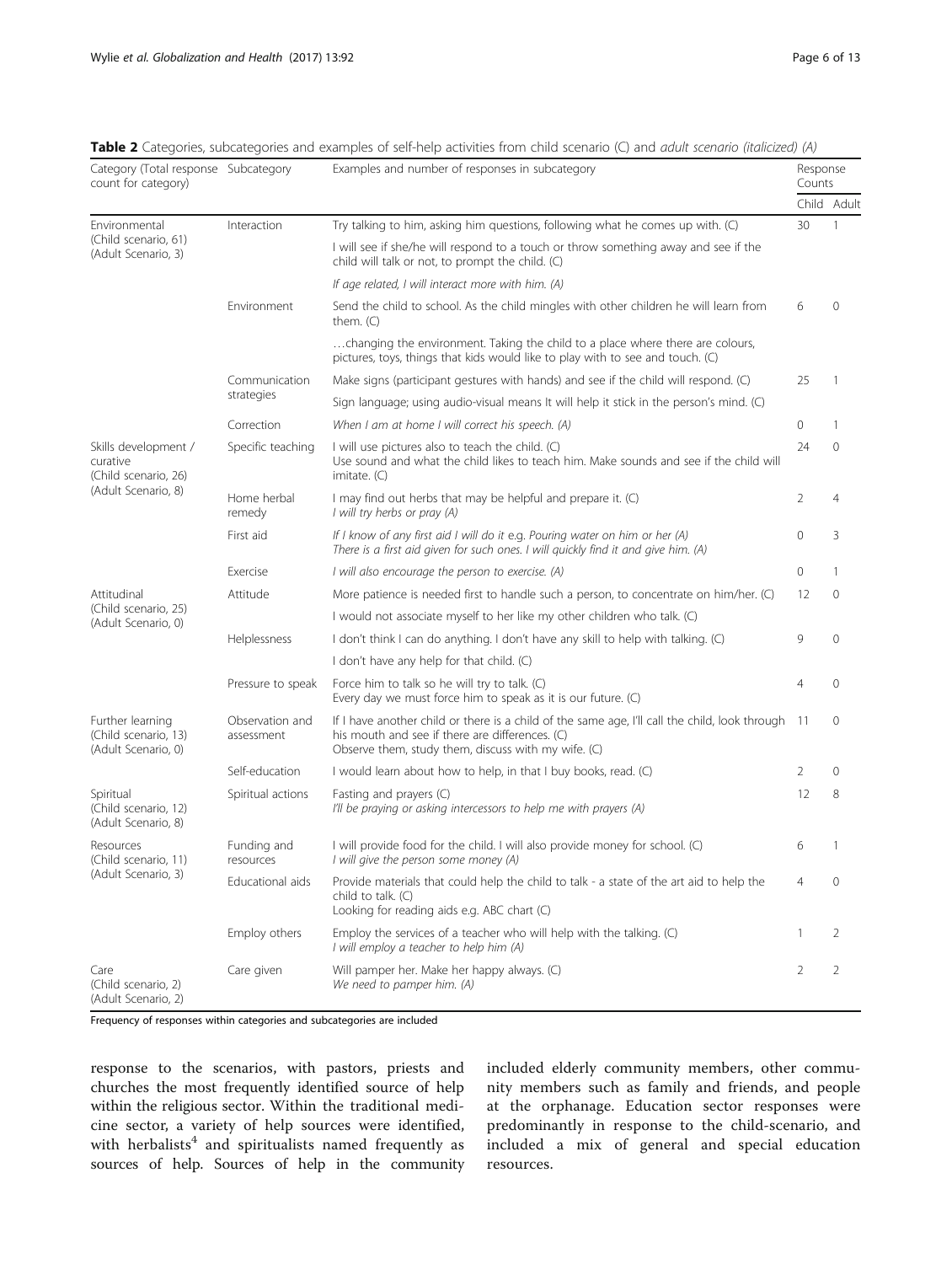| Category (Total response Subcategory<br>count for category)     |                               | Examples and number of responses in subcategory                                                                                                                                                          |    |                             |  |  |
|-----------------------------------------------------------------|-------------------------------|----------------------------------------------------------------------------------------------------------------------------------------------------------------------------------------------------------|----|-----------------------------|--|--|
|                                                                 |                               |                                                                                                                                                                                                          | 30 | Child Adult<br>$\mathbf{1}$ |  |  |
| Fnvironmental<br>(Child scenario, 61)                           | Interaction                   | Try talking to him, asking him questions, following what he comes up with. (C)                                                                                                                           |    |                             |  |  |
| (Adult Scenario, 3)                                             |                               | I will see if she/he will respond to a touch or throw something away and see if the<br>child will talk or not, to prompt the child. (C)                                                                  |    |                             |  |  |
|                                                                 |                               | If age related, I will interact more with him. (A)                                                                                                                                                       |    |                             |  |  |
|                                                                 | Environment                   | Send the child to school. As the child mingles with other children he will learn from<br>them. $(C)$                                                                                                     |    |                             |  |  |
|                                                                 |                               | changing the environment. Taking the child to a place where there are colours,<br>pictures, toys, things that kids would like to play with to see and touch. (C)                                         |    |                             |  |  |
|                                                                 | Communication                 | Make signs (participant gestures with hands) and see if the child will respond. (C)                                                                                                                      |    |                             |  |  |
|                                                                 | strategies                    | Sign language; using audio-visual means It will help it stick in the person's mind. (C)                                                                                                                  |    |                             |  |  |
|                                                                 | Correction                    | When I am at home I will correct his speech. (A)                                                                                                                                                         | 0  | $\mathbf{1}$                |  |  |
| Skills development /<br>curative<br>(Child scenario, 26)        | Specific teaching             | I will use pictures also to teach the child. (C)<br>Use sound and what the child likes to teach him. Make sounds and see if the child will<br>imitate. $(C)$                                             |    | $\mathbf{0}$                |  |  |
| (Adult Scenario, 8)                                             | Home herbal<br>remedy         | I may find out herbs that may be helpful and prepare it. (C)<br>I will try herbs or pray (A)                                                                                                             | 2  | $\overline{4}$              |  |  |
|                                                                 | First aid                     | If I know of any first aid I will do it e.g. Pouring water on him or her (A)<br>There is a first aid given for such ones. I will quickly find it and give him. (A)                                       |    |                             |  |  |
|                                                                 | Exercise                      | I will also encourage the person to exercise. (A)                                                                                                                                                        | 0  | $\mathbf{1}$                |  |  |
| Attitudinal                                                     | Attitude                      | More patience is needed first to handle such a person, to concentrate on him/her. (C)                                                                                                                    | 12 | $\Omega$                    |  |  |
| (Child scenario, 25)<br>(Adult Scenario, 0)                     |                               | I would not associate myself to her like my other children who talk. (C)                                                                                                                                 |    |                             |  |  |
|                                                                 | Helplessness                  | I don't think I can do anything. I don't have any skill to help with talking. (C)                                                                                                                        | 9  | $\mathbf{0}$                |  |  |
|                                                                 |                               | I don't have any help for that child. (C)                                                                                                                                                                |    |                             |  |  |
|                                                                 | Pressure to speak             | Force him to talk so he will try to talk. $(C)$<br>Every day we must force him to speak as it is our future. (C)                                                                                         | 4  | $\mathbf 0$                 |  |  |
| Further learning<br>(Child scenario, 13)<br>(Adult Scenario, 0) | Observation and<br>assessment | If I have another child or there is a child of the same age, I'll call the child, look through<br>his mouth and see if there are differences. (C)<br>Observe them, study them, discuss with my wife. (C) |    | $\mathbf{0}$                |  |  |
|                                                                 | Self-education                | I would learn about how to help, in that I buy books, read. (C)                                                                                                                                          | 2  | $\mathbf{0}$                |  |  |
| Spiritual<br>(Child scenario, 12)<br>(Adult Scenario, 8)        | Spiritual actions             | Fasting and prayers (C)<br>I'll be praying or asking intercessors to help me with prayers (A)                                                                                                            | 12 | 8                           |  |  |
| Resources<br>(Child scenario, 11)                               | Funding and<br>resources      | I will provide food for the child. I will also provide money for school. (C)<br>I will give the person some money (A)                                                                                    | 6  | 1                           |  |  |
| (Adult Scenario, 3)                                             | Educational aids              | Provide materials that could help the child to talk - a state of the art aid to help the<br>child to talk. $(C)$<br>Looking for reading aids e.g. ABC chart (C)                                          |    |                             |  |  |
|                                                                 | Employ others                 | Employ the services of a teacher who will help with the talking. (C)<br>I will employ a teacher to help him (A)                                                                                          | 1  | 2                           |  |  |
| Care<br>(Child scenario, 2)<br>(Adult Scenario, 2)              | Care given                    | Will pamper her. Make her happy always. (C)<br>We need to pamper him. (A)                                                                                                                                | 2  | 2                           |  |  |

<span id="page-5-0"></span>Table 2 Categories, subcategories and examples of self-help activities from child scenario (C) and *adult scenario (italicized) (A)* 

Frequency of responses within categories and subcategories are included

response to the scenarios, with pastors, priests and churches the most frequently identified source of help within the religious sector. Within the traditional medicine sector, a variety of help sources were identified, with herbalists<sup>4</sup> and spiritualists named frequently as sources of help. Sources of help in the community

included elderly community members, other community members such as family and friends, and people at the orphanage. Education sector responses were predominantly in response to the child-scenario, and included a mix of general and special education resources.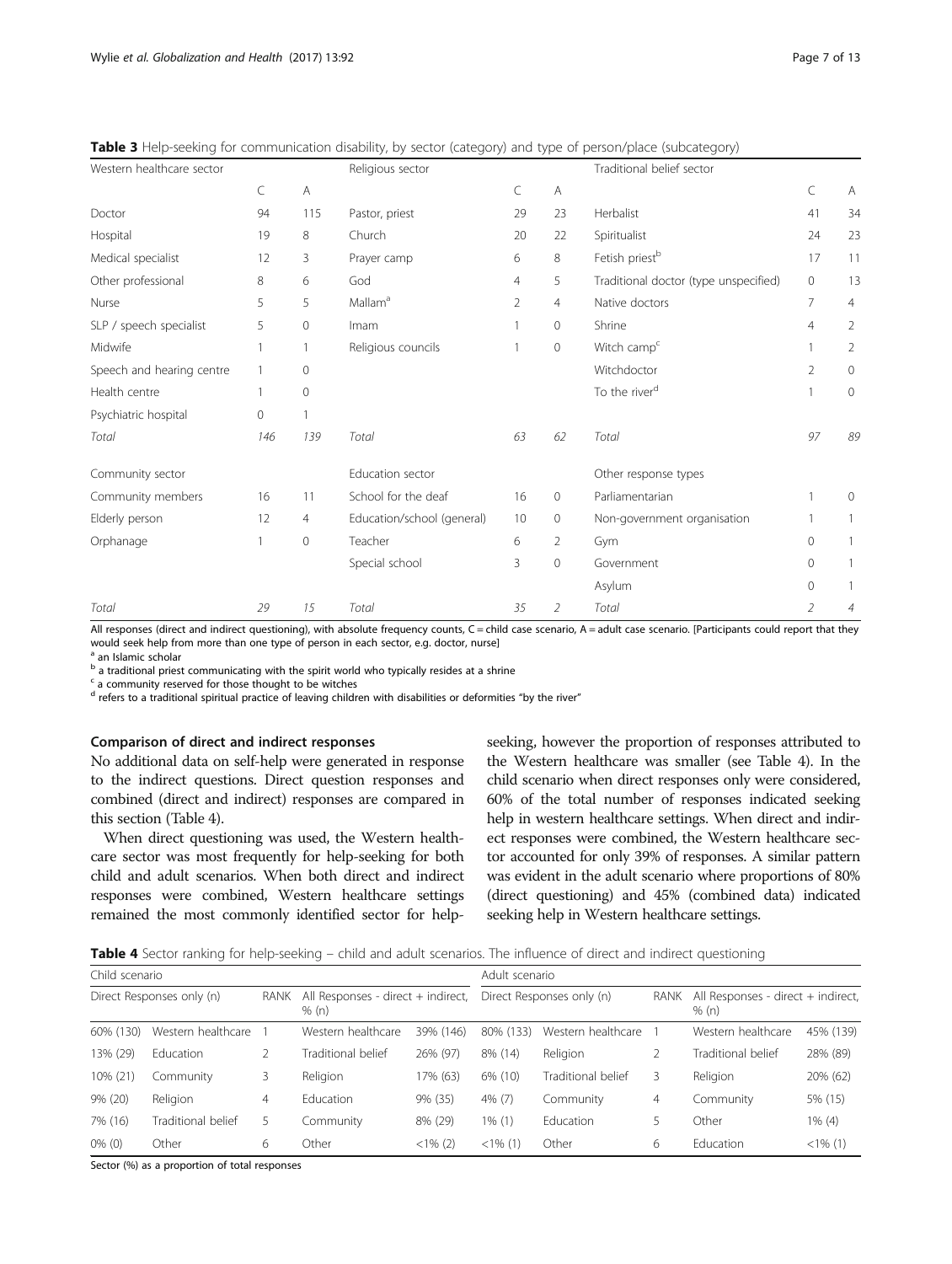| Western healthcare sector |     |              | Religious sector           |                |              | Traditional belief sector             |    |                     |  |
|---------------------------|-----|--------------|----------------------------|----------------|--------------|---------------------------------------|----|---------------------|--|
|                           | C   | A            |                            | C              | Α            |                                       | C  | А                   |  |
| Doctor                    | 94  | 115          | Pastor, priest             | 29             | 23           | Herbalist                             | 41 | 34                  |  |
| Hospital                  | 19  | 8            | Church                     | 20             | 22           | Spiritualist                          | 24 | 2 <sup>3</sup>      |  |
| Medical specialist        | 12  | 3            | Prayer camp                | 6              | 8            | Fetish priest <sup>b</sup>            | 17 | 11                  |  |
| Other professional        | 8   | 6            | God                        | 4              | 5            | Traditional doctor (type unspecified) | 0  | 13                  |  |
| Nurse                     | 5   | 5            | Mallam <sup>a</sup>        | $\overline{2}$ | 4            | Native doctors                        | 7  | 4                   |  |
| SLP / speech specialist   | 5   | $\Omega$     | Imam                       |                | $\Omega$     | Shrine                                | 4  | 2                   |  |
| Midwife                   |     |              | Religious councils         |                | $\mathbf{0}$ | Witch camp <sup>c</sup>               |    | 2                   |  |
| Speech and hearing centre |     | $\mathbf{0}$ |                            |                |              | Witchdoctor                           | 2  | $\mathsf{O}\xspace$ |  |
| Health centre             |     | $\mathbf{0}$ |                            |                |              | To the river <sup>d</sup>             | 1  | 0                   |  |
| Psychiatric hospital      | 0   |              |                            |                |              |                                       |    |                     |  |
| Total                     | 146 | 139          | Total                      | 63             | 62           | Total                                 | 97 | 89                  |  |
| Community sector          |     |              | Education sector           |                |              | Other response types                  |    |                     |  |
| Community members         | 16  | 11           | School for the deaf        | 16             | $\mathbf{0}$ | Parliamentarian                       |    | 0                   |  |
| Elderly person            | 12  | 4            | Education/school (general) | 10             | 0            | Non-government organisation           |    | 1                   |  |
| Orphanage                 |     | $\circ$      | Teacher                    | 6              | 2            | Gym                                   | 0  |                     |  |
|                           |     |              | Special school             | $\overline{3}$ | $\circ$      | Government                            | 0  |                     |  |
|                           |     |              |                            |                |              | Asylum                                | 0  |                     |  |
|                           |     |              |                            |                |              |                                       |    |                     |  |

<span id="page-6-0"></span>Table 3 Help-seeking for communication disability, by sector (category) and type of person/place (subcategory)

Total 29 15 Total 35 2 Total 2 4 All responses (direct and indirect questioning), with absolute frequency counts, C = child case scenario, A = adult case scenario. [Participants could report that they would seek help from more than one type of person in each sector, e.g. doctor, nurse]

<sup>a</sup> an Islamic scholar

b a traditional priest communicating with the spirit world who typically resides at a shrine

 $c$  a community reserved for those thought to be witches

<sup>d</sup> refers to a traditional spiritual practice of leaving children with disabilities or deformities "by the river"

## Comparison of direct and indirect responses

No additional data on self-help were generated in response to the indirect questions. Direct question responses and combined (direct and indirect) responses are compared in this section (Table 4).

When direct questioning was used, the Western healthcare sector was most frequently for help-seeking for both child and adult scenarios. When both direct and indirect responses were combined, Western healthcare settings remained the most commonly identified sector for helpseeking, however the proportion of responses attributed to the Western healthcare was smaller (see Table 4). In the child scenario when direct responses only were considered, 60% of the total number of responses indicated seeking help in western healthcare settings. When direct and indirect responses were combined, the Western healthcare sector accounted for only 39% of responses. A similar pattern was evident in the adult scenario where proportions of 80% (direct questioning) and 45% (combined data) indicated seeking help in Western healthcare settings.

Table 4 Sector ranking for help-seeking – child and adult scenarios. The influence of direct and indirect questioning

| Child scenario            |                    |      |                                             |            |                           | Adult scenario     |      |                                             |            |  |  |
|---------------------------|--------------------|------|---------------------------------------------|------------|---------------------------|--------------------|------|---------------------------------------------|------------|--|--|
| Direct Responses only (n) |                    | RANK | All Responses - direct + indirect,<br>% (n) |            | Direct Responses only (n) |                    | RANK | All Responses - direct + indirect,<br>% (n) |            |  |  |
| 60% (130)                 | Western healthcare |      | Western healthcare                          | 39% (146)  | 80% (133)                 | Western healthcare |      | Western healthcare                          | 45% (139)  |  |  |
| 13% (29)                  | Education          |      | Traditional belief                          | 26% (97)   | 8% (14)                   | Religion           |      | Traditional belief                          | 28% (89)   |  |  |
| 10% (21)                  | Communitv          |      | Religion                                    | 17% (63)   | 6% (10)                   | Traditional belief |      | Religion                                    | 20% (62)   |  |  |
| 9% (20)                   | Religion           | 4    | Education                                   | 9% (35)    | 4% (7)                    | Community          | 4    | Community                                   | 5% (15)    |  |  |
| 7% (16)                   | Traditional belief |      | Communitv                                   | 8% (29)    | 1% (1)                    | Education          |      | Other                                       | $1\%$ (4)  |  |  |
| $0\%$ (0)                 | Other              | 6    | Other                                       | $<1\%$ (2) | $<1\%$ (1)                | Other              | 6    | Education                                   | $<1\%$ (1) |  |  |

Sector (%) as a proportion of total responses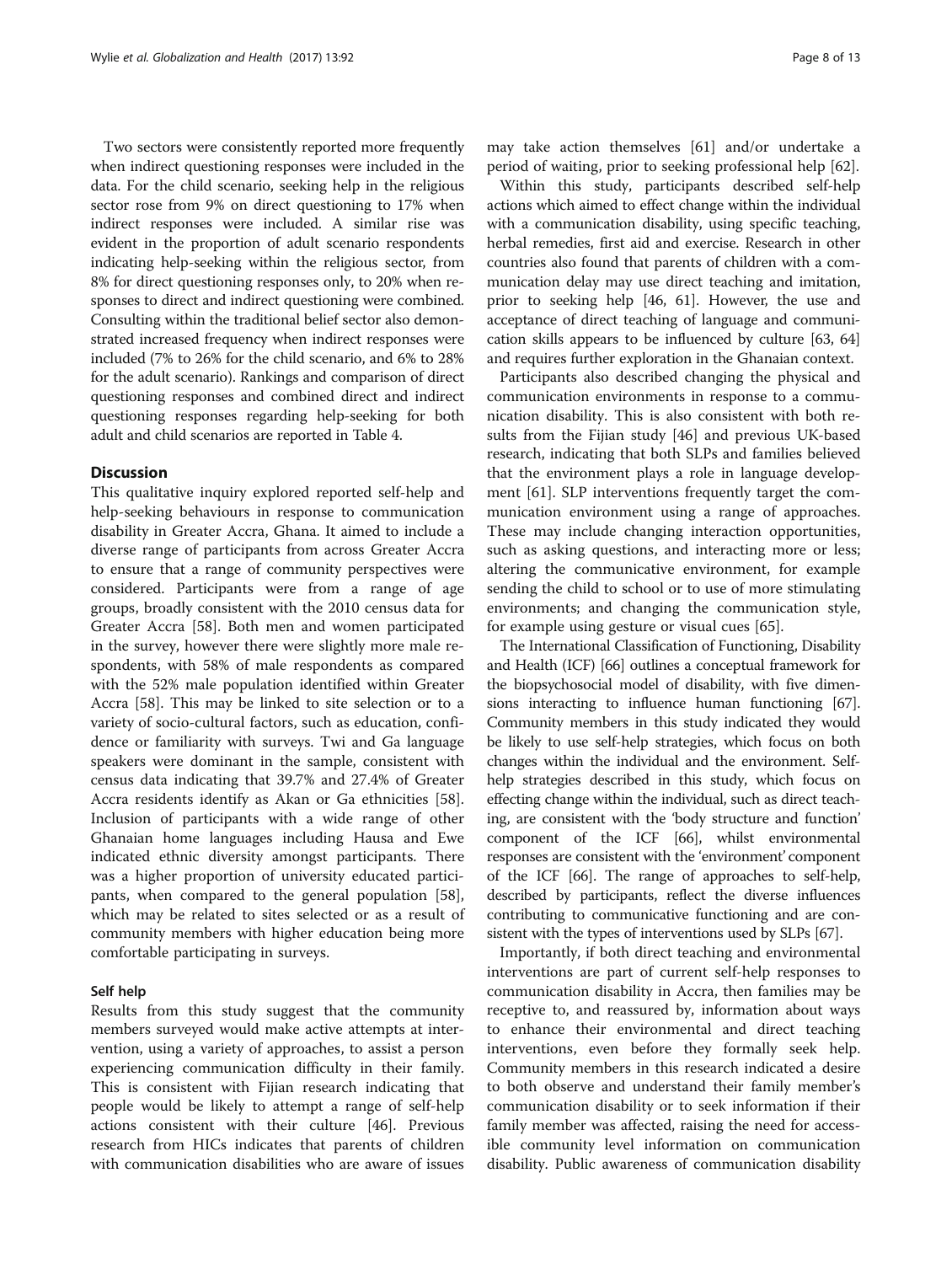Two sectors were consistently reported more frequently when indirect questioning responses were included in the data. For the child scenario, seeking help in the religious sector rose from 9% on direct questioning to 17% when indirect responses were included. A similar rise was evident in the proportion of adult scenario respondents indicating help-seeking within the religious sector, from 8% for direct questioning responses only, to 20% when responses to direct and indirect questioning were combined. Consulting within the traditional belief sector also demonstrated increased frequency when indirect responses were included (7% to 26% for the child scenario, and 6% to 28% for the adult scenario). Rankings and comparison of direct questioning responses and combined direct and indirect questioning responses regarding help-seeking for both adult and child scenarios are reported in Table [4.](#page-6-0)

## **Discussion**

This qualitative inquiry explored reported self-help and help-seeking behaviours in response to communication disability in Greater Accra, Ghana. It aimed to include a diverse range of participants from across Greater Accra to ensure that a range of community perspectives were considered. Participants were from a range of age groups, broadly consistent with the 2010 census data for Greater Accra [\[58\]](#page-11-0). Both men and women participated in the survey, however there were slightly more male respondents, with 58% of male respondents as compared with the 52% male population identified within Greater Accra [\[58](#page-11-0)]. This may be linked to site selection or to a variety of socio-cultural factors, such as education, confidence or familiarity with surveys. Twi and Ga language speakers were dominant in the sample, consistent with census data indicating that 39.7% and 27.4% of Greater Accra residents identify as Akan or Ga ethnicities [\[58](#page-11-0)]. Inclusion of participants with a wide range of other Ghanaian home languages including Hausa and Ewe indicated ethnic diversity amongst participants. There was a higher proportion of university educated participants, when compared to the general population [\[58](#page-11-0)], which may be related to sites selected or as a result of community members with higher education being more comfortable participating in surveys.

## Self help

Results from this study suggest that the community members surveyed would make active attempts at intervention, using a variety of approaches, to assist a person experiencing communication difficulty in their family. This is consistent with Fijian research indicating that people would be likely to attempt a range of self-help actions consistent with their culture [[46\]](#page-11-0). Previous research from HICs indicates that parents of children with communication disabilities who are aware of issues may take action themselves [\[61\]](#page-11-0) and/or undertake a period of waiting, prior to seeking professional help [[62](#page-11-0)].

Within this study, participants described self-help actions which aimed to effect change within the individual with a communication disability, using specific teaching, herbal remedies, first aid and exercise. Research in other countries also found that parents of children with a communication delay may use direct teaching and imitation, prior to seeking help [\[46, 61](#page-11-0)]. However, the use and acceptance of direct teaching of language and communication skills appears to be influenced by culture [\[63, 64](#page-11-0)] and requires further exploration in the Ghanaian context.

Participants also described changing the physical and communication environments in response to a communication disability. This is also consistent with both results from the Fijian study [[46\]](#page-11-0) and previous UK-based research, indicating that both SLPs and families believed that the environment plays a role in language development [[61](#page-11-0)]. SLP interventions frequently target the communication environment using a range of approaches. These may include changing interaction opportunities, such as asking questions, and interacting more or less; altering the communicative environment, for example sending the child to school or to use of more stimulating environments; and changing the communication style, for example using gesture or visual cues [\[65](#page-11-0)].

The International Classification of Functioning, Disability and Health (ICF) [[66](#page-11-0)] outlines a conceptual framework for the biopsychosocial model of disability, with five dimensions interacting to influence human functioning [\[67](#page-11-0)]. Community members in this study indicated they would be likely to use self-help strategies, which focus on both changes within the individual and the environment. Selfhelp strategies described in this study, which focus on effecting change within the individual, such as direct teaching, are consistent with the 'body structure and function' component of the ICF [[66](#page-11-0)], whilst environmental responses are consistent with the 'environment' component of the ICF [[66](#page-11-0)]. The range of approaches to self-help, described by participants, reflect the diverse influences contributing to communicative functioning and are consistent with the types of interventions used by SLPs [[67](#page-11-0)].

Importantly, if both direct teaching and environmental interventions are part of current self-help responses to communication disability in Accra, then families may be receptive to, and reassured by, information about ways to enhance their environmental and direct teaching interventions, even before they formally seek help. Community members in this research indicated a desire to both observe and understand their family member's communication disability or to seek information if their family member was affected, raising the need for accessible community level information on communication disability. Public awareness of communication disability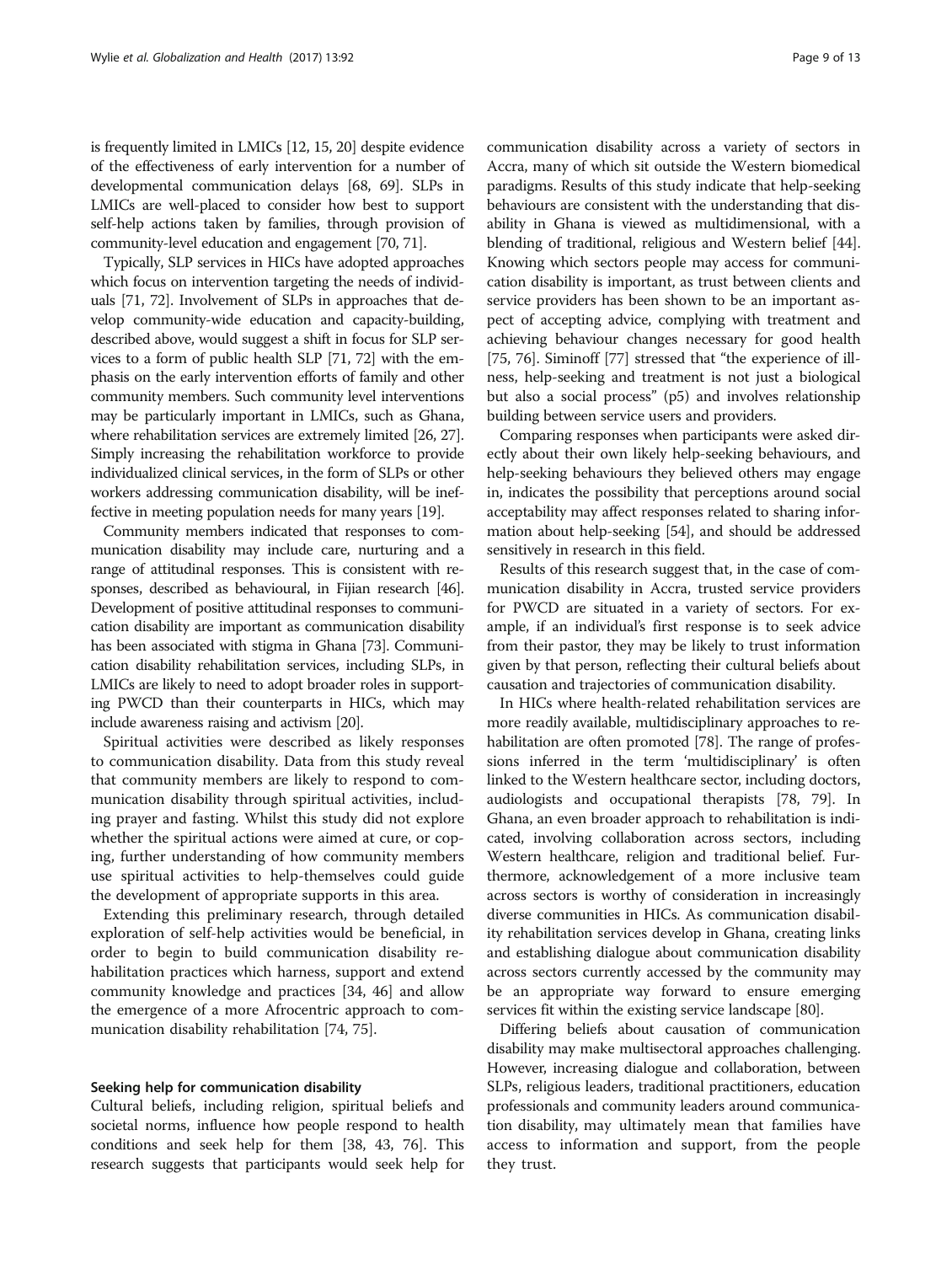is frequently limited in LMICs [\[12, 15,](#page-10-0) [20](#page-11-0)] despite evidence of the effectiveness of early intervention for a number of developmental communication delays [[68](#page-11-0), [69](#page-11-0)]. SLPs in LMICs are well-placed to consider how best to support self-help actions taken by families, through provision of community-level education and engagement [\[70, 71\]](#page-12-0).

Typically, SLP services in HICs have adopted approaches which focus on intervention targeting the needs of individuals [[71](#page-12-0), [72](#page-12-0)]. Involvement of SLPs in approaches that develop community-wide education and capacity-building, described above, would suggest a shift in focus for SLP services to a form of public health SLP [\[71](#page-12-0), [72](#page-12-0)] with the emphasis on the early intervention efforts of family and other community members. Such community level interventions may be particularly important in LMICs, such as Ghana, where rehabilitation services are extremely limited [[26](#page-11-0), [27](#page-11-0)]. Simply increasing the rehabilitation workforce to provide individualized clinical services, in the form of SLPs or other workers addressing communication disability, will be ineffective in meeting population needs for many years [[19](#page-11-0)].

Community members indicated that responses to communication disability may include care, nurturing and a range of attitudinal responses. This is consistent with responses, described as behavioural, in Fijian research [\[46](#page-11-0)]. Development of positive attitudinal responses to communication disability are important as communication disability has been associated with stigma in Ghana [\[73\]](#page-12-0). Communication disability rehabilitation services, including SLPs, in LMICs are likely to need to adopt broader roles in supporting PWCD than their counterparts in HICs, which may include awareness raising and activism [\[20\]](#page-11-0).

Spiritual activities were described as likely responses to communication disability. Data from this study reveal that community members are likely to respond to communication disability through spiritual activities, including prayer and fasting. Whilst this study did not explore whether the spiritual actions were aimed at cure, or coping, further understanding of how community members use spiritual activities to help-themselves could guide the development of appropriate supports in this area.

Extending this preliminary research, through detailed exploration of self-help activities would be beneficial, in order to begin to build communication disability rehabilitation practices which harness, support and extend community knowledge and practices [\[34, 46\]](#page-11-0) and allow the emergence of a more Afrocentric approach to communication disability rehabilitation [[74, 75\]](#page-12-0).

## Seeking help for communication disability

Cultural beliefs, including religion, spiritual beliefs and societal norms, influence how people respond to health conditions and seek help for them [\[38, 43](#page-11-0), [76\]](#page-12-0). This research suggests that participants would seek help for communication disability across a variety of sectors in Accra, many of which sit outside the Western biomedical paradigms. Results of this study indicate that help-seeking behaviours are consistent with the understanding that disability in Ghana is viewed as multidimensional, with a blending of traditional, religious and Western belief [[44](#page-11-0)]. Knowing which sectors people may access for communication disability is important, as trust between clients and service providers has been shown to be an important aspect of accepting advice, complying with treatment and achieving behaviour changes necessary for good health [[75](#page-12-0), [76](#page-12-0)]. Siminoff [\[77\]](#page-12-0) stressed that "the experience of illness, help-seeking and treatment is not just a biological but also a social process" (p5) and involves relationship building between service users and providers.

Comparing responses when participants were asked directly about their own likely help-seeking behaviours, and help-seeking behaviours they believed others may engage in, indicates the possibility that perceptions around social acceptability may affect responses related to sharing information about help-seeking [\[54](#page-11-0)], and should be addressed sensitively in research in this field.

Results of this research suggest that, in the case of communication disability in Accra, trusted service providers for PWCD are situated in a variety of sectors. For example, if an individual's first response is to seek advice from their pastor, they may be likely to trust information given by that person, reflecting their cultural beliefs about causation and trajectories of communication disability.

In HICs where health-related rehabilitation services are more readily available, multidisciplinary approaches to re-habilitation are often promoted [\[78](#page-12-0)]. The range of professions inferred in the term 'multidisciplinary' is often linked to the Western healthcare sector, including doctors, audiologists and occupational therapists [[78, 79](#page-12-0)]. In Ghana, an even broader approach to rehabilitation is indicated, involving collaboration across sectors, including Western healthcare, religion and traditional belief. Furthermore, acknowledgement of a more inclusive team across sectors is worthy of consideration in increasingly diverse communities in HICs. As communication disability rehabilitation services develop in Ghana, creating links and establishing dialogue about communication disability across sectors currently accessed by the community may be an appropriate way forward to ensure emerging services fit within the existing service landscape [[80](#page-12-0)].

Differing beliefs about causation of communication disability may make multisectoral approaches challenging. However, increasing dialogue and collaboration, between SLPs, religious leaders, traditional practitioners, education professionals and community leaders around communication disability, may ultimately mean that families have access to information and support, from the people they trust.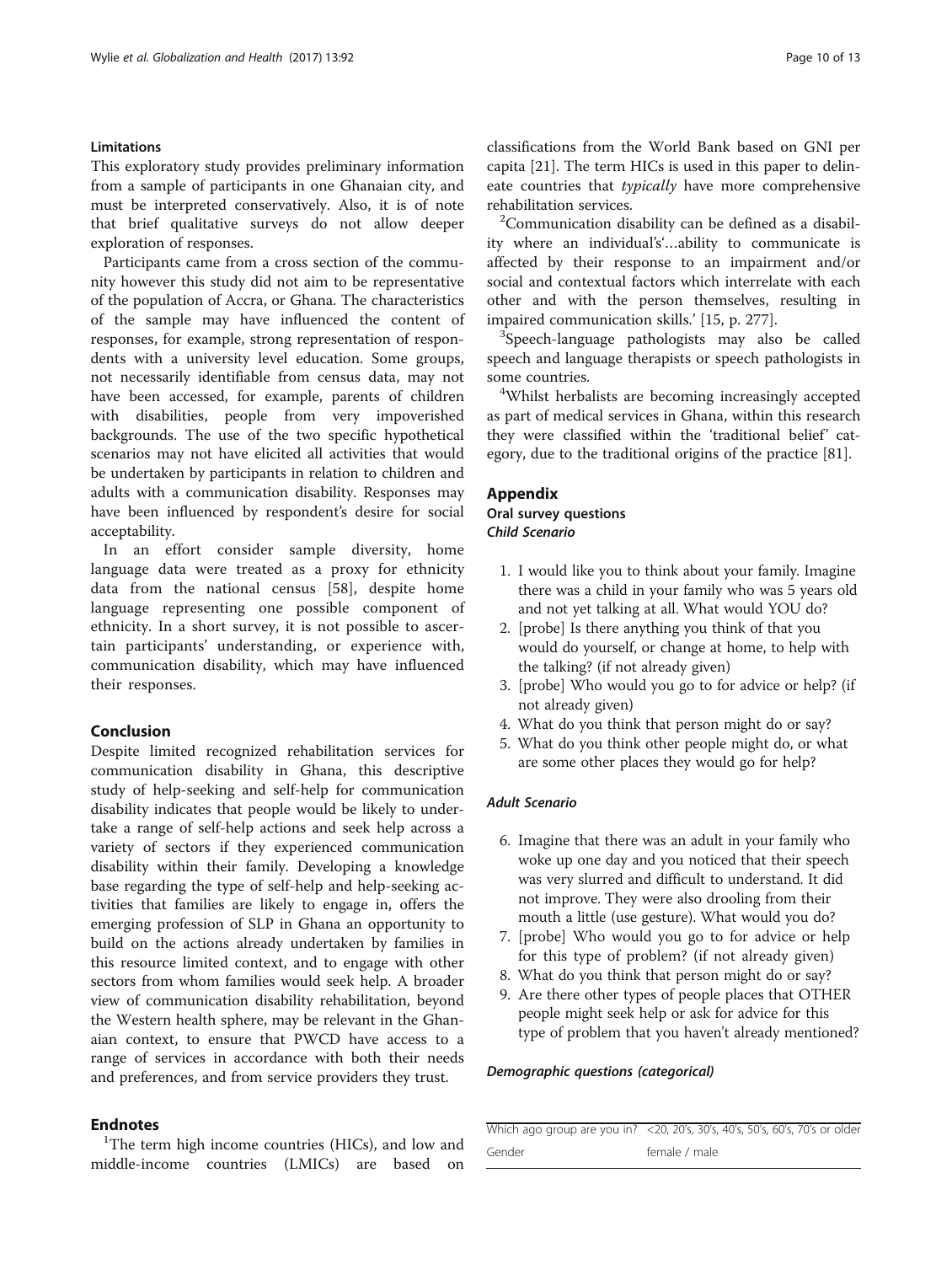## <span id="page-9-0"></span>Limitations

This exploratory study provides preliminary information from a sample of participants in one Ghanaian city, and must be interpreted conservatively. Also, it is of note that brief qualitative surveys do not allow deeper exploration of responses.

Participants came from a cross section of the community however this study did not aim to be representative of the population of Accra, or Ghana. The characteristics of the sample may have influenced the content of responses, for example, strong representation of respondents with a university level education. Some groups, not necessarily identifiable from census data, may not have been accessed, for example, parents of children with disabilities, people from very impoverished backgrounds. The use of the two specific hypothetical scenarios may not have elicited all activities that would be undertaken by participants in relation to children and adults with a communication disability. Responses may have been influenced by respondent's desire for social acceptability.

In an effort consider sample diversity, home language data were treated as a proxy for ethnicity data from the national census [\[58](#page-11-0)], despite home language representing one possible component of ethnicity. In a short survey, it is not possible to ascertain participants' understanding, or experience with, communication disability, which may have influenced their responses.

## Conclusion

Despite limited recognized rehabilitation services for communication disability in Ghana, this descriptive study of help-seeking and self-help for communication disability indicates that people would be likely to undertake a range of self-help actions and seek help across a variety of sectors if they experienced communication disability within their family. Developing a knowledge base regarding the type of self-help and help-seeking activities that families are likely to engage in, offers the emerging profession of SLP in Ghana an opportunity to build on the actions already undertaken by families in this resource limited context, and to engage with other sectors from whom families would seek help. A broader view of communication disability rehabilitation, beyond the Western health sphere, may be relevant in the Ghanaian context, to ensure that PWCD have access to a range of services in accordance with both their needs and preferences, and from service providers they trust.

## **Endnotes**

<sup>1</sup>The term high income countries (HICs), and low and middle-income countries (LMICs) are based on

 $2$ Communication disability can be defined as a disability where an individual's'…ability to communicate is affected by their response to an impairment and/or social and contextual factors which interrelate with each other and with the person themselves, resulting in impaired communication skills.' [15, p. 277].

<sup>3</sup>Speech-language pathologists may also be called speech and language therapists or speech pathologists in some countries.

Whilst herbalists are becoming increasingly accepted as part of medical services in Ghana, within this research they were classified within the 'traditional belief' category, due to the traditional origins of the practice [[81\]](#page-12-0).

## Appendix Oral survey questions

### Child Scenario

- 1. I would like you to think about your family. Imagine there was a child in your family who was 5 years old and not yet talking at all. What would YOU do?
- 2. [probe] Is there anything you think of that you would do yourself, or change at home, to help with the talking? (if not already given)
- 3. [probe] Who would you go to for advice or help? (if not already given)
- 4. What do you think that person might do or say?
- 5. What do you think other people might do, or what are some other places they would go for help?

## Adult Scenario

- 6. Imagine that there was an adult in your family who woke up one day and you noticed that their speech was very slurred and difficult to understand. It did not improve. They were also drooling from their mouth a little (use gesture). What would you do?
- 7. [probe] Who would you go to for advice or help for this type of problem? (if not already given)
- 8. What do you think that person might do or say?
- 9. Are there other types of people places that OTHER people might seek help or ask for advice for this type of problem that you haven't already mentioned?

## Demographic questions (categorical)

Which ago group are you in? <20, 20's, 30's, 40's, 50's, 60's, 70's or older Gender Female / male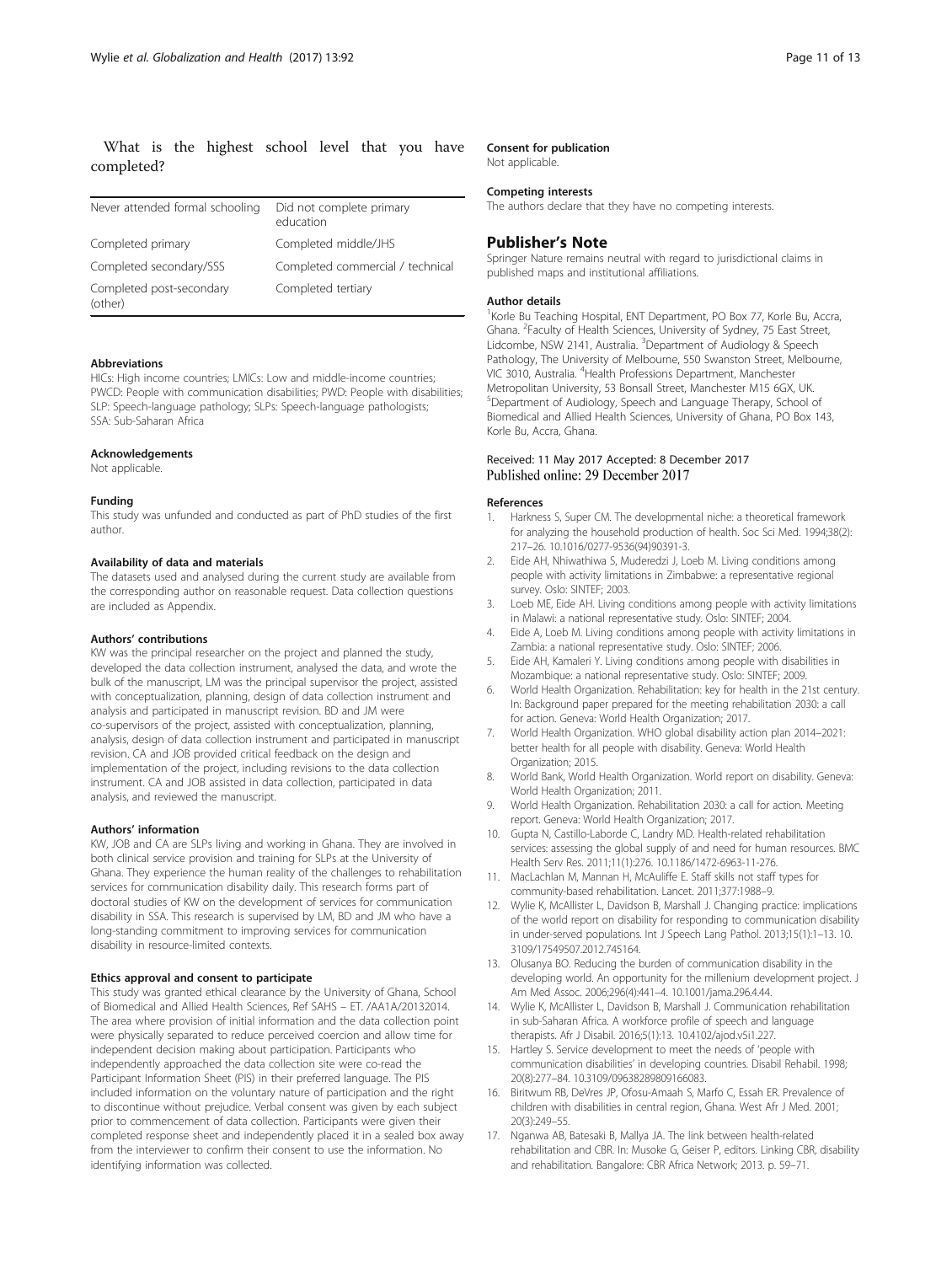## <span id="page-10-0"></span>What is the highest school level that you have completed?

| Never attended formal schooling     | Did not complete primary<br>education |
|-------------------------------------|---------------------------------------|
| Completed primary                   | Completed middle/JHS                  |
| Completed secondary/SSS             | Completed commercial / technical      |
| Completed post-secondary<br>(other) | Completed tertiary                    |

#### Abbreviations

HICs: High income countries; LMICs: Low and middle-income countries; PWCD: People with communication disabilities; PWD: People with disabilities; SLP: Speech-language pathology; SLPs: Speech-language pathologists; SSA: Sub-Saharan Africa

#### Acknowledgements

Not applicable.

#### Funding

This study was unfunded and conducted as part of PhD studies of the first author.

## Availability of data and materials

The datasets used and analysed during the current study are available from the corresponding author on reasonable request. Data collection questions are included as [Appendix.](#page-9-0)

#### Authors' contributions

KW was the principal researcher on the project and planned the study, developed the data collection instrument, analysed the data, and wrote the bulk of the manuscript, LM was the principal supervisor the project, assisted with conceptualization, planning, design of data collection instrument and analysis and participated in manuscript revision. BD and JM were co-supervisors of the project, assisted with conceptualization, planning, analysis, design of data collection instrument and participated in manuscript revision. CA and JOB provided critical feedback on the design and implementation of the project, including revisions to the data collection instrument. CA and JOB assisted in data collection, participated in data analysis, and reviewed the manuscript.

#### Authors' information

KW, JOB and CA are SLPs living and working in Ghana. They are involved in both clinical service provision and training for SLPs at the University of Ghana. They experience the human reality of the challenges to rehabilitation services for communication disability daily. This research forms part of doctoral studies of KW on the development of services for communication disability in SSA. This research is supervised by LM, BD and JM who have a long-standing commitment to improving services for communication disability in resource-limited contexts.

#### Ethics approval and consent to participate

This study was granted ethical clearance by the University of Ghana, School of Biomedical and Allied Health Sciences, Ref SAHS – ET. /AA1A/20132014. The area where provision of initial information and the data collection point were physically separated to reduce perceived coercion and allow time for independent decision making about participation. Participants who independently approached the data collection site were co-read the Participant Information Sheet (PIS) in their preferred language. The PIS included information on the voluntary nature of participation and the right to discontinue without prejudice. Verbal consent was given by each subject prior to commencement of data collection. Participants were given their completed response sheet and independently placed it in a sealed box away from the interviewer to confirm their consent to use the information. No identifying information was collected.

#### Consent for publication

Not applicable.

#### Competing interests

The authors declare that they have no competing interests.

#### Publisher's Note

Springer Nature remains neutral with regard to jurisdictional claims in published maps and institutional affiliations.

#### Author details

<sup>1</sup> Korle Bu Teaching Hospital, ENT Department, PO Box 77, Korle Bu, Accra, Ghana. <sup>2</sup>Faculty of Health Sciences, University of Sydney, 75 East Street, Lidcombe, NSW 2141, Australia. <sup>3</sup>Department of Audiology & Speech Pathology, The University of Melbourne, 550 Swanston Street, Melbourne, VIC 3010, Australia. <sup>4</sup> Health Professions Department, Manchester Metropolitan University, 53 Bonsall Street, Manchester M15 6GX, UK. 5 Department of Audiology, Speech and Language Therapy, School of Biomedical and Allied Health Sciences, University of Ghana, PO Box 143, Korle Bu, Accra, Ghana.

## Received: 11 May 2017 Accepted: 8 December 2017 Published online: 29 December 2017

#### References

- 1. Harkness S, Super CM. The developmental niche: a theoretical framework for analyzing the household production of health. Soc Sci Med. 1994;38(2): 217–26. [10.1016/0277-9536\(94\)90391-3](http://dx.doi.org/10.1016/0277-9536(94)90391-3).
- 2. Eide AH, Nhiwathiwa S, Muderedzi J, Loeb M. Living conditions among people with activity limitations in Zimbabwe: a representative regional survey. Oslo: SINTEF; 2003.
- 3. Loeb ME, Eide AH. Living conditions among people with activity limitations in Malawi: a national representative study. Oslo: SINTEF; 2004.
- 4. Eide A, Loeb M. Living conditions among people with activity limitations in Zambia: a national representative study. Oslo: SINTEF; 2006.
- 5. Eide AH, Kamaleri Y. Living conditions among people with disabilities in Mozambique: a national representative study. Oslo: SINTEF; 2009.
- 6. World Health Organization. Rehabilitation: key for health in the 21st century. In: Background paper prepared for the meeting rehabilitation 2030: a call for action. Geneva: World Health Organization; 2017.
- 7. World Health Organization. WHO global disability action plan 2014–2021: better health for all people with disability. Geneva: World Health Organization; 2015.
- 8. World Bank, World Health Organization. World report on disability. Geneva: World Health Organization; 2011.
- 9. World Health Organization. Rehabilitation 2030: a call for action. Meeting report. Geneva: World Health Organization; 2017.
- 10. Gupta N, Castillo-Laborde C, Landry MD. Health-related rehabilitation services: assessing the global supply of and need for human resources. BMC Health Serv Res. 2011;11(1):276. [10.1186/1472-6963-11-276.](http://dx.doi.org/10.1186/1472-6963-11-276)
- 11. MacLachlan M, Mannan H, McAuliffe E. Staff skills not staff types for community-based rehabilitation. Lancet. 2011;377:1988–9.
- 12. Wylie K, McAllister L, Davidson B, Marshall J. Changing practice: implications of the world report on disability for responding to communication disability in under-served populations. Int J Speech Lang Pathol. 2013;15(1):1–13. [10.](http://dx.doi.org/10.3109/17549507.2012.745164) [3109/17549507.2012.745164.](http://dx.doi.org/10.3109/17549507.2012.745164)
- 13. Olusanya BO. Reducing the burden of communication disability in the developing world. An opportunity for the millenium development project. J Am Med Assoc. 2006;296(4):441–4. [10.1001/jama.296.4.44.](http://dx.doi.org/10.1001/jama.296.4.44)
- 14. Wylie K, McAllister L, Davidson B, Marshall J. Communication rehabilitation in sub-Saharan Africa. A workforce profile of speech and language therapists. Afr J Disabil. 2016;5(1):13. [10.4102/ajod.v5i1.227](http://dx.doi.org/10.4102/ajod.v5i1.227).
- 15. Hartley S. Service development to meet the needs of 'people with communication disabilities' in developing countries. Disabil Rehabil. 1998; 20(8):277–84. [10.3109/09638289809166083.](http://dx.doi.org/10.3109/09638289809166083)
- 16. Biritwum RB, DeVres JP, Ofosu-Amaah S, Marfo C, Essah ER. Prevalence of children with disabilities in central region, Ghana. West Afr J Med. 2001; 20(3):249–55.
- 17. Nganwa AB, Batesaki B, Mallya JA. The link between health-related rehabilitation and CBR. In: Musoke G, Geiser P, editors. Linking CBR, disability and rehabilitation. Bangalore: CBR Africa Network; 2013. p. 59–71.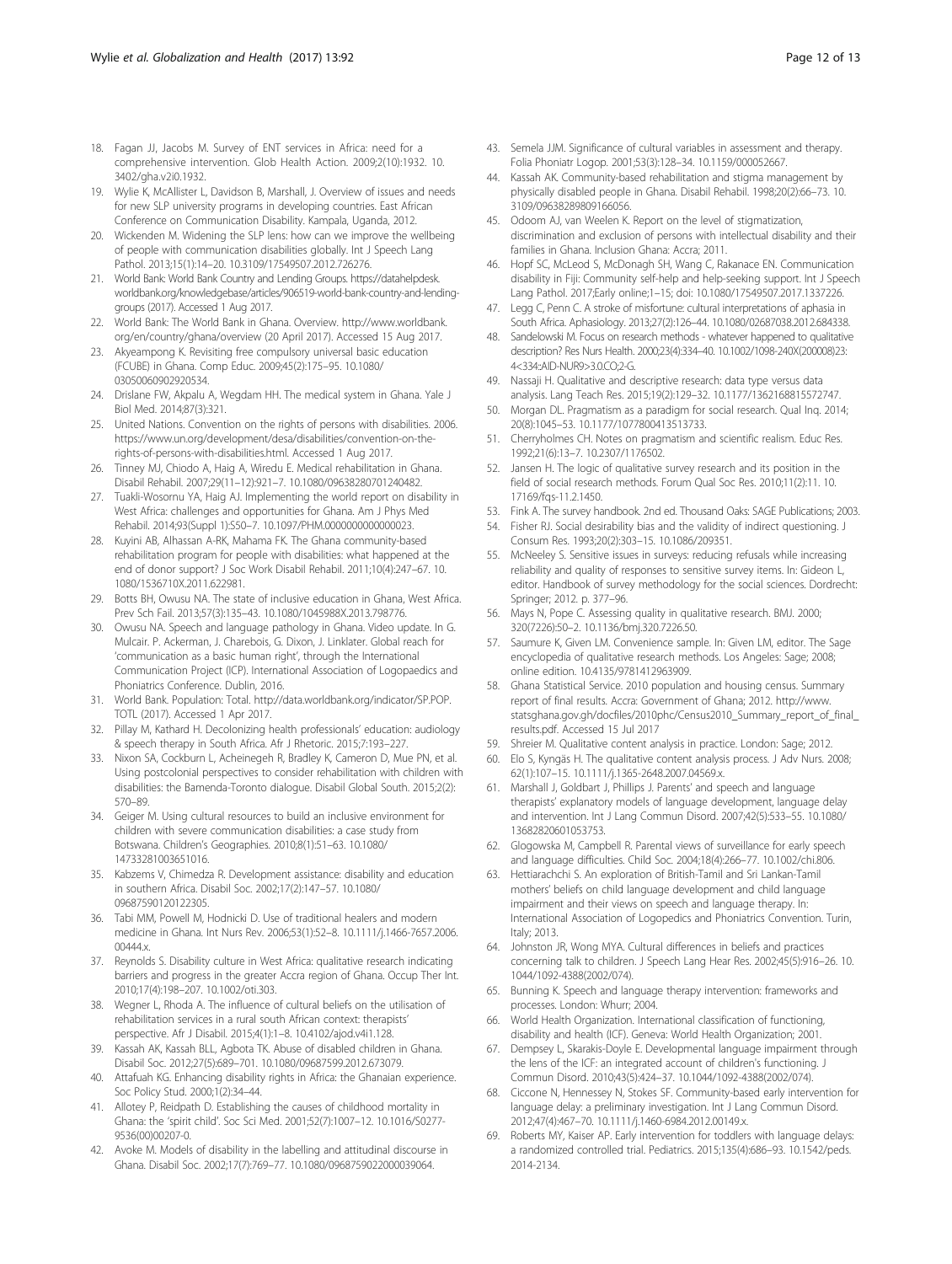- <span id="page-11-0"></span>18. Fagan JJ, Jacobs M. Survey of ENT services in Africa: need for a comprehensive intervention. Glob Health Action. 2009;2(10):1932. [10.](http://dx.doi.org/10.3402/gha.v2i0.1932) [3402/gha.v2i0.1932.](http://dx.doi.org/10.3402/gha.v2i0.1932)
- 19. Wylie K, McAllister L, Davidson B, Marshall, J. Overview of issues and needs for new SLP university programs in developing countries. East African Conference on Communication Disability. Kampala, Uganda, 2012.
- 20. Wickenden M. Widening the SLP lens: how can we improve the wellbeing of people with communication disabilities globally. Int J Speech Lang Pathol. 2013;15(1):14–20. [10.3109/17549507.2012.726276](http://dx.doi.org/10.3109/17549507.2012.726276).
- 21. World Bank: World Bank Country and Lending Groups. [https://datahelpdesk.](https://datahelpdesk.worldbank.org/knowledgebase/articles/906519-world-bank-country-and-lending-groups) [worldbank.org/knowledgebase/articles/906519-world-bank-country-and-lending](https://datahelpdesk.worldbank.org/knowledgebase/articles/906519-world-bank-country-and-lending-groups)[groups](https://datahelpdesk.worldbank.org/knowledgebase/articles/906519-world-bank-country-and-lending-groups) (2017). Accessed 1 Aug 2017.
- 22. World Bank: The World Bank in Ghana. Overview. [http://www.worldbank.](http://www.worldbank.org/en/country/ghana/overview) [org/en/country/ghana/overview](http://www.worldbank.org/en/country/ghana/overview) (20 April 2017). Accessed 15 Aug 2017.
- 23. Akyeampong K. Revisiting free compulsory universal basic education (FCUBE) in Ghana. Comp Educ. 2009;45(2):175–95. [10.1080/](http://dx.doi.org/10.1080/03050060902920534) [03050060902920534.](http://dx.doi.org/10.1080/03050060902920534)
- 24. Drislane FW, Akpalu A, Wegdam HH. The medical system in Ghana. Yale J Biol Med. 2014;87(3):321.
- 25. United Nations. Convention on the rights of persons with disabilities. 2006. [https://www.un.org/development/desa/disabilities/convention-on-the](https://www.un.org/development/desa/disabilities/convention-on-the-rights-of-persons-with-disabilities.html)[rights-of-persons-with-disabilities.html.](https://www.un.org/development/desa/disabilities/convention-on-the-rights-of-persons-with-disabilities.html) Accessed 1 Aug 2017.
- 26. Tinney MJ, Chiodo A, Haig A, Wiredu E. Medical rehabilitation in Ghana. Disabil Rehabil. 2007;29(11–12):921–7. [10.1080/09638280701240482](http://dx.doi.org/10.1080/09638280701240482).
- 27. Tuakli-Wosornu YA, Haig AJ. Implementing the world report on disability in West Africa: challenges and opportunities for Ghana. Am J Phys Med Rehabil. 2014;93(Suppl 1):S50–7. [10.1097/PHM.0000000000000023.](http://dx.doi.org/10.1097/PHM.0000000000000023)
- 28. Kuyini AB, Alhassan A-RK, Mahama FK. The Ghana community-based rehabilitation program for people with disabilities: what happened at the end of donor support? J Soc Work Disabil Rehabil. 2011;10(4):247–67. [10.](http://dx.doi.org/10.1080/1536710X.2011.622981) [1080/1536710X.2011.622981](http://dx.doi.org/10.1080/1536710X.2011.622981).
- 29. Botts BH, Owusu NA. The state of inclusive education in Ghana, West Africa. Prev Sch Fail. 2013;57(3):135–43. [10.1080/1045988X.2013.798776](http://dx.doi.org/10.1080/1045988X.2013.798776).
- 30. Owusu NA. Speech and language pathology in Ghana. Video update. In G. Mulcair. P. Ackerman, J. Charebois, G. Dixon, J. Linklater. Global reach for 'communication as a basic human right', through the International Communication Project (ICP). International Association of Logopaedics and Phoniatrics Conference. Dublin, 2016.
- 31. World Bank. Population: Total. [http://data.worldbank.org/indicator/SP.POP.](http://data.worldbank.org/indicator/SP.POP.TOTL) [TOTL](http://data.worldbank.org/indicator/SP.POP.TOTL) (2017). Accessed 1 Apr 2017.
- 32. Pillay M, Kathard H. Decolonizing health professionals' education: audiology & speech therapy in South Africa. Afr J Rhetoric. 2015;7:193–227.
- 33. Nixon SA, Cockburn L, Acheinegeh R, Bradley K, Cameron D, Mue PN, et al. Using postcolonial perspectives to consider rehabilitation with children with disabilities: the Bamenda-Toronto dialogue. Disabil Global South. 2015;2(2): 570–89.
- 34. Geiger M. Using cultural resources to build an inclusive environment for children with severe communication disabilities: a case study from Botswana. Children's Geographies. 2010;8(1):51–63. [10.1080/](http://dx.doi.org/10.1080/14733281003651016) [14733281003651016.](http://dx.doi.org/10.1080/14733281003651016)
- 35. Kabzems V, Chimedza R. Development assistance: disability and education in southern Africa. Disabil Soc. 2002;17(2):147–57. [10.1080/](http://dx.doi.org/10.1080/09687590120122305) [09687590120122305.](http://dx.doi.org/10.1080/09687590120122305)
- 36. Tabi MM, Powell M, Hodnicki D. Use of traditional healers and modern medicine in Ghana. Int Nurs Rev. 2006;53(1):52–8. [10.1111/j.1466-7657.2006.](http://dx.doi.org/10.1111/j.1466-7657.2006.00444.x) [00444.x](http://dx.doi.org/10.1111/j.1466-7657.2006.00444.x).
- 37. Reynolds S. Disability culture in West Africa: qualitative research indicating barriers and progress in the greater Accra region of Ghana. Occup Ther Int. 2010;17(4):198–207. [10.1002/oti.303.](http://dx.doi.org/10.1002/oti.303)
- 38. Wegner L, Rhoda A. The influence of cultural beliefs on the utilisation of rehabilitation services in a rural south African context: therapists' perspective. Afr J Disabil. 2015;4(1):1–8. [10.4102/ajod.v4i1.128](http://dx.doi.org/10.4102/ajod.v4i1.128).
- 39. Kassah AK, Kassah BLL, Agbota TK. Abuse of disabled children in Ghana. Disabil Soc. 2012;27(5):689–701. [10.1080/09687599.2012.673079](http://dx.doi.org/10.1080/09687599.2012.673079).
- 40. Attafuah KG. Enhancing disability rights in Africa: the Ghanaian experience. Soc Policy Stud. 2000;1(2):34–44.
- 41. Allotey P, Reidpath D. Establishing the causes of childhood mortality in Ghana: the 'spirit child'. Soc Sci Med. 2001;52(7):1007–12. [10.1016/S0277-](http://dx.doi.org/10.1016/S0277-9536(00)00207-0) [9536\(00\)00207-0](http://dx.doi.org/10.1016/S0277-9536(00)00207-0).
- 42. Avoke M. Models of disability in the labelling and attitudinal discourse in Ghana. Disabil Soc. 2002;17(7):769–77. [10.1080/0968759022000039064.](http://dx.doi.org/10.1080/0968759022000039064)
- 43. Semela JJM. Significance of cultural variables in assessment and therapy. Folia Phoniatr Logop. 2001;53(3):128–34. [10.1159/000052667.](http://dx.doi.org/10.1159/000052667)
- 44. Kassah AK. Community-based rehabilitation and stigma management by physically disabled people in Ghana. Disabil Rehabil. 1998;20(2):66–73. [10.](http://dx.doi.org/10.3109/09638289809166056) [3109/09638289809166056.](http://dx.doi.org/10.3109/09638289809166056)
- 45. Odoom AJ, van Weelen K. Report on the level of stigmatization, discrimination and exclusion of persons with intellectual disability and their families in Ghana. Inclusion Ghana: Accra; 2011.
- 46. Hopf SC, McLeod S, McDonagh SH, Wang C, Rakanace EN. Communication disability in Fiji: Community self-help and help-seeking support. Int J Speech Lang Pathol. 2017;Early online;1–15; doi: [10.1080/17549507.2017.1337226](http://dx.doi.org/10.1080/17549507.2017.1337226).
- 47. Legg C, Penn C. A stroke of misfortune: cultural interpretations of aphasia in South Africa. Aphasiology. 2013;27(2):126–44. [10.1080/02687038.2012.684338.](http://dx.doi.org/10.1080/02687038.2012.684338)
- 48. Sandelowski M. Focus on research methods whatever happened to qualitative description? Res Nurs Health. 2000;23(4):334–40. [10.1002/1098-240X\(200008\)23:](http://dx.doi.org/10.1002/1098-240X(200008)23:4<334::AID-NUR9>3.0.CO;2-G) [4<334::AID-NUR9>3.0.CO;2-G.](http://dx.doi.org/10.1002/1098-240X(200008)23:4<334::AID-NUR9>3.0.CO;2-G)
- 49. Nassaji H. Qualitative and descriptive research: data type versus data analysis. Lang Teach Res. 2015;19(2):129–32. [10.1177/1362168815572747](http://dx.doi.org/10.1177/1362168815572747).
- 50. Morgan DL. Pragmatism as a paradigm for social research. Qual Inq. 2014; 20(8):1045–53. [10.1177/1077800413513733.](http://dx.doi.org/10.1177/1077800413513733)
- 51. Cherryholmes CH. Notes on pragmatism and scientific realism. Educ Res. 1992;21(6):13–7. [10.2307/1176502.](http://dx.doi.org/10.2307/1176502)
- 52. Jansen H. The logic of qualitative survey research and its position in the field of social research methods. Forum Qual Soc Res. 2010;11(2):11. [10.](http://dx.doi.org/10.17169/fqs-11.2.1450) [17169/fqs-11.2.1450.](http://dx.doi.org/10.17169/fqs-11.2.1450)
- 53. Fink A. The survey handbook. 2nd ed. Thousand Oaks: SAGE Publications; 2003.
- 54. Fisher RJ. Social desirability bias and the validity of indirect questioning. J Consum Res. 1993;20(2):303–15. [10.1086/209351.](http://dx.doi.org/10.1086/209351)
- 55. McNeeley S. Sensitive issues in surveys: reducing refusals while increasing reliability and quality of responses to sensitive survey items. In: Gideon L, editor. Handbook of survey methodology for the social sciences. Dordrecht: Springer; 2012. p. 377–96.
- 56. Mays N, Pope C. Assessing quality in qualitative research. BMJ. 2000; 320(7226):50–2. [10.1136/bmj.320.7226.50](http://dx.doi.org/10.1136/bmj.320.7226.50).
- 57. Saumure K, Given LM. Convenience sample. In: Given LM, editor. The Sage encyclopedia of qualitative research methods. Los Angeles: Sage; 2008; online edition. [10.4135/9781412963909](http://dx.doi.org/10.4135/9781412963909).
- 58. Ghana Statistical Service. 2010 population and housing census. Summary report of final results. Accra: Government of Ghana; 2012. [http://www.](http://www.statsghana.gov.gh/docfiles/2010phc/Census2010_Summary_report_of_final_results.pdf) [statsghana.gov.gh/docfiles/2010phc/Census2010\\_Summary\\_report\\_of\\_final\\_](http://www.statsghana.gov.gh/docfiles/2010phc/Census2010_Summary_report_of_final_results.pdf) [results.pdf](http://www.statsghana.gov.gh/docfiles/2010phc/Census2010_Summary_report_of_final_results.pdf). Accessed 15 Jul 2017
- 59. Shreier M. Qualitative content analysis in practice. London: Sage; 2012.
- 60. Elo S, Kyngäs H. The qualitative content analysis process. J Adv Nurs. 2008; 62(1):107–15. [10.1111/j.1365-2648.2007.04569.x](http://dx.doi.org/10.1111/j.1365-2648.2007.04569.x).
- 61. Marshall J, Goldbart J, Phillips J. Parents' and speech and language therapists' explanatory models of language development, language delay and intervention. Int J Lang Commun Disord. 2007;42(5):533–55. [10.1080/](http://dx.doi.org/10.1080/13682820601053753) [13682820601053753.](http://dx.doi.org/10.1080/13682820601053753)
- 62. Glogowska M, Campbell R. Parental views of surveillance for early speech and language difficulties. Child Soc. 2004;18(4):266–77. [10.1002/chi.806](http://dx.doi.org/10.1002/chi.806).
- 63. Hettiarachchi S. An exploration of British-Tamil and Sri Lankan-Tamil mothers' beliefs on child language development and child language impairment and their views on speech and language therapy. In: International Association of Logopedics and Phoniatrics Convention. Turin, Italy; 2013.
- 64. Johnston JR, Wong MYA. Cultural differences in beliefs and practices concerning talk to children. J Speech Lang Hear Res. 2002;45(5):916–26. [10.](http://dx.doi.org/10.1044/1092-4388(2002/074).) [1044/1092-4388\(2002/074\).](http://dx.doi.org/10.1044/1092-4388(2002/074).)
- 65. Bunning K. Speech and language therapy intervention: frameworks and processes. London: Whurr; 2004.
- 66. World Health Organization. International classification of functioning, disability and health (ICF). Geneva: World Health Organization; 2001.
- 67. Dempsey L, Skarakis-Doyle E. Developmental language impairment through the lens of the ICF: an integrated account of children's functioning. J Commun Disord. 2010;43(5):424–37. [10.1044/1092-4388\(2002/074\).](http://dx.doi.org/10.1044/1092-4388(2002/074).)
- 68. Ciccone N, Hennessey N, Stokes SF. Community-based early intervention for language delay: a preliminary investigation. Int J Lang Commun Disord. 2012;47(4):467–70. [10.1111/j.1460-6984.2012.00149.x](http://dx.doi.org/10.1111/j.1460-6984.2012.00149.x).
- 69. Roberts MY, Kaiser AP. Early intervention for toddlers with language delays: a randomized controlled trial. Pediatrics. 2015;135(4):686–93. [10.1542/peds.](http://dx.doi.org/10.1542/peds.2014-2134) [2014-2134](http://dx.doi.org/10.1542/peds.2014-2134).